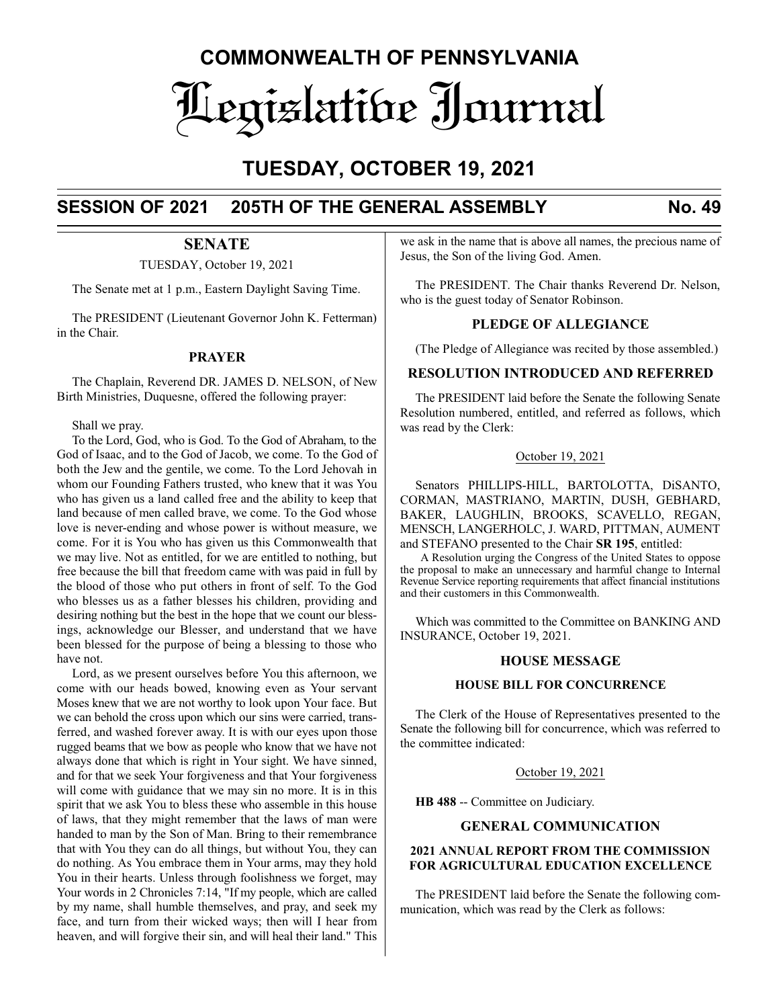# **COMMONWEALTH OF PENNSYLVANIA** Legislative Journal

# **TUESDAY, OCTOBER 19, 2021**

# **SESSION OF 2021 205TH OF THE GENERAL ASSEMBLY No. 49**

# **SENATE**

TUESDAY, October 19, 2021

The Senate met at 1 p.m., Eastern Daylight Saving Time.

The PRESIDENT (Lieutenant Governor John K. Fetterman) in the Chair.

# **PRAYER**

The Chaplain, Reverend DR. JAMES D. NELSON, of New Birth Ministries, Duquesne, offered the following prayer:

Shall we pray.

To the Lord, God, who is God. To the God of Abraham, to the God of Isaac, and to the God of Jacob, we come. To the God of both the Jew and the gentile, we come. To the Lord Jehovah in whom our Founding Fathers trusted, who knew that it was You who has given us a land called free and the ability to keep that land because of men called brave, we come. To the God whose love is never-ending and whose power is without measure, we come. For it is You who has given us this Commonwealth that we may live. Not as entitled, for we are entitled to nothing, but free because the bill that freedom came with was paid in full by the blood of those who put others in front of self. To the God who blesses us as a father blesses his children, providing and desiring nothing but the best in the hope that we count our blessings, acknowledge our Blesser, and understand that we have been blessed for the purpose of being a blessing to those who have not.

Lord, as we present ourselves before You this afternoon, we come with our heads bowed, knowing even as Your servant Moses knew that we are not worthy to look upon Your face. But we can behold the cross upon which our sins were carried, transferred, and washed forever away. It is with our eyes upon those rugged beams that we bow as people who know that we have not always done that which is right in Your sight. We have sinned, and for that we seek Your forgiveness and that Your forgiveness will come with guidance that we may sin no more. It is in this spirit that we ask You to bless these who assemble in this house of laws, that they might remember that the laws of man were handed to man by the Son of Man. Bring to their remembrance that with You they can do all things, but without You, they can do nothing. As You embrace them in Your arms, may they hold You in their hearts. Unless through foolishness we forget, may Your words in 2 Chronicles 7:14, "If my people, which are called by my name, shall humble themselves, and pray, and seek my face, and turn from their wicked ways; then will I hear from heaven, and will forgive their sin, and will heal their land." This

we ask in the name that is above all names, the precious name of Jesus, the Son of the living God. Amen.

The PRESIDENT. The Chair thanks Reverend Dr. Nelson, who is the guest today of Senator Robinson.

# **PLEDGE OF ALLEGIANCE**

(The Pledge of Allegiance was recited by those assembled.)

# **RESOLUTION INTRODUCED AND REFERRED**

The PRESIDENT laid before the Senate the following Senate Resolution numbered, entitled, and referred as follows, which was read by the Clerk:

# October 19, 2021

Senators PHILLIPS-HILL, BARTOLOTTA, DiSANTO, CORMAN, MASTRIANO, MARTIN, DUSH, GEBHARD, BAKER, LAUGHLIN, BROOKS, SCAVELLO, REGAN, MENSCH, LANGERHOLC, J. WARD, PITTMAN, AUMENT and STEFANO presented to the Chair **SR 195**, entitled:

A Resolution urging the Congress of the United States to oppose the proposal to make an unnecessary and harmful change to Internal Revenue Service reporting requirements that affect financial institutions and their customers in this Commonwealth.

Which was committed to the Committee on BANKING AND INSURANCE, October 19, 2021.

# **HOUSE MESSAGE**

# **HOUSE BILL FOR CONCURRENCE**

The Clerk of the House of Representatives presented to the Senate the following bill for concurrence, which was referred to the committee indicated:

October 19, 2021

**HB 488** -- Committee on Judiciary.

# **GENERAL COMMUNICATION**

# **2021 ANNUAL REPORT FROM THE COMMISSION FOR AGRICULTURAL EDUCATION EXCELLENCE**

The PRESIDENT laid before the Senate the following communication, which was read by the Clerk as follows: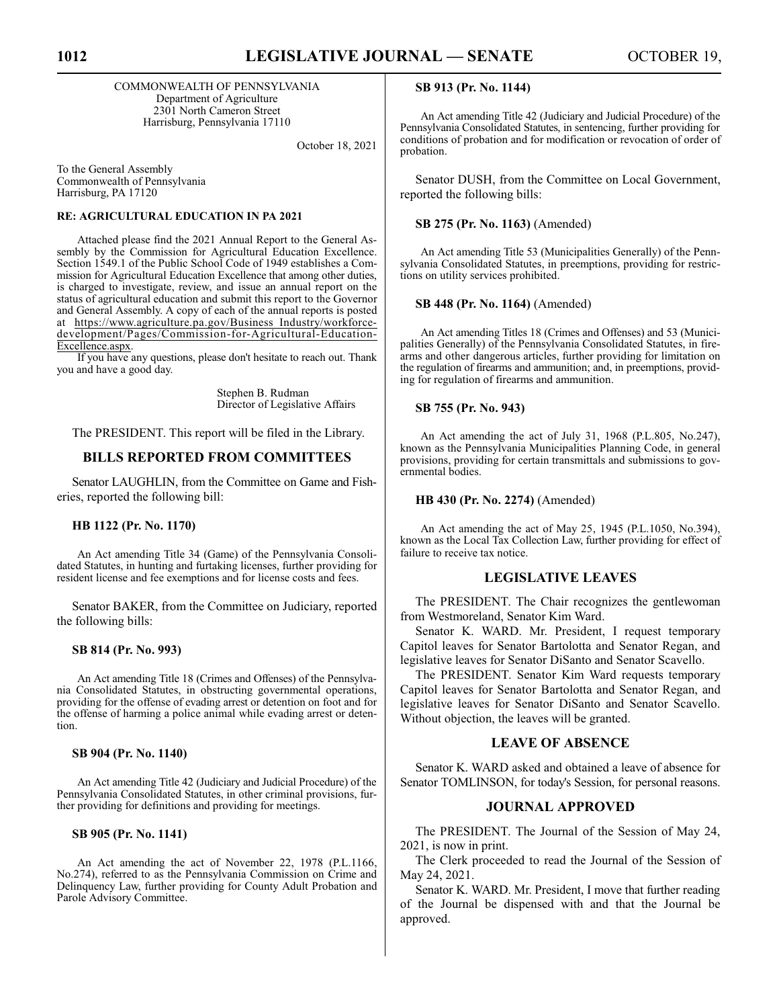COMMONWEALTH OF PENNSYLVANIA Department of Agriculture 2301 North Cameron Street Harrisburg, Pennsylvania 17110

October 18, 2021

To the General Assembly Commonwealth of Pennsylvania Harrisburg, PA 17120

# **RE: AGRICULTURAL EDUCATION IN PA 2021**

Attached please find the 2021 Annual Report to the General Assembly by the Commission for Agricultural Education Excellence. Section 1549.1 of the Public School Code of 1949 establishes a Commission for Agricultural Education Excellence that among other duties, is charged to investigate, review, and issue an annual report on the status of agricultural education and submit this report to the Governor and General Assembly. A copy of each of the annual reports is posted at https://www.agriculture.pa.gov/Business\_Industry/workforcedevelopment/Pages/Commission-for-Agricultural-Education-Excellence.aspx.

If you have any questions, please don't hesitate to reach out. Thank you and have a good day.

> Stephen B. Rudman Director of Legislative Affairs

The PRESIDENT. This report will be filed in the Library.

# **BILLS REPORTED FROM COMMITTEES**

Senator LAUGHLIN, from the Committee on Game and Fisheries, reported the following bill:

### **HB 1122 (Pr. No. 1170)**

An Act amending Title 34 (Game) of the Pennsylvania Consolidated Statutes, in hunting and furtaking licenses, further providing for resident license and fee exemptions and for license costs and fees.

Senator BAKER, from the Committee on Judiciary, reported the following bills:

# **SB 814 (Pr. No. 993)**

An Act amending Title 18 (Crimes and Offenses) of the Pennsylvania Consolidated Statutes, in obstructing governmental operations, providing for the offense of evading arrest or detention on foot and for the offense of harming a police animal while evading arrest or detention.

# **SB 904 (Pr. No. 1140)**

An Act amending Title 42 (Judiciary and Judicial Procedure) of the Pennsylvania Consolidated Statutes, in other criminal provisions, further providing for definitions and providing for meetings.

## **SB 905 (Pr. No. 1141)**

An Act amending the act of November 22, 1978 (P.L.1166, No.274), referred to as the Pennsylvania Commission on Crime and Delinquency Law, further providing for County Adult Probation and Parole Advisory Committee.

### **SB 913 (Pr. No. 1144)**

An Act amending Title 42 (Judiciary and Judicial Procedure) of the Pennsylvania Consolidated Statutes, in sentencing, further providing for conditions of probation and for modification or revocation of order of probation.

Senator DUSH, from the Committee on Local Government, reported the following bills:

### **SB 275 (Pr. No. 1163)** (Amended)

An Act amending Title 53 (Municipalities Generally) of the Pennsylvania Consolidated Statutes, in preemptions, providing for restrictions on utility services prohibited.

### **SB 448 (Pr. No. 1164)** (Amended)

An Act amending Titles 18 (Crimes and Offenses) and 53 (Municipalities Generally) of the Pennsylvania Consolidated Statutes, in firearms and other dangerous articles, further providing for limitation on the regulation of firearms and ammunition; and, in preemptions, providing for regulation of firearms and ammunition.

### **SB 755 (Pr. No. 943)**

An Act amending the act of July 31, 1968 (P.L.805, No.247), known as the Pennsylvania Municipalities Planning Code, in general provisions, providing for certain transmittals and submissions to governmental bodies.

### **HB 430 (Pr. No. 2274)** (Amended)

An Act amending the act of May 25, 1945 (P.L.1050, No.394), known as the Local Tax Collection Law, further providing for effect of failure to receive tax notice.

### **LEGISLATIVE LEAVES**

The PRESIDENT. The Chair recognizes the gentlewoman from Westmoreland, Senator Kim Ward.

Senator K. WARD. Mr. President, I request temporary Capitol leaves for Senator Bartolotta and Senator Regan, and legislative leaves for Senator DiSanto and Senator Scavello.

The PRESIDENT. Senator Kim Ward requests temporary Capitol leaves for Senator Bartolotta and Senator Regan, and legislative leaves for Senator DiSanto and Senator Scavello. Without objection, the leaves will be granted.

# **LEAVE OF ABSENCE**

Senator K. WARD asked and obtained a leave of absence for Senator TOMLINSON, for today's Session, for personal reasons.

# **JOURNAL APPROVED**

The PRESIDENT. The Journal of the Session of May 24, 2021, is now in print.

The Clerk proceeded to read the Journal of the Session of May 24, 2021.

Senator K. WARD. Mr. President, I move that further reading of the Journal be dispensed with and that the Journal be approved.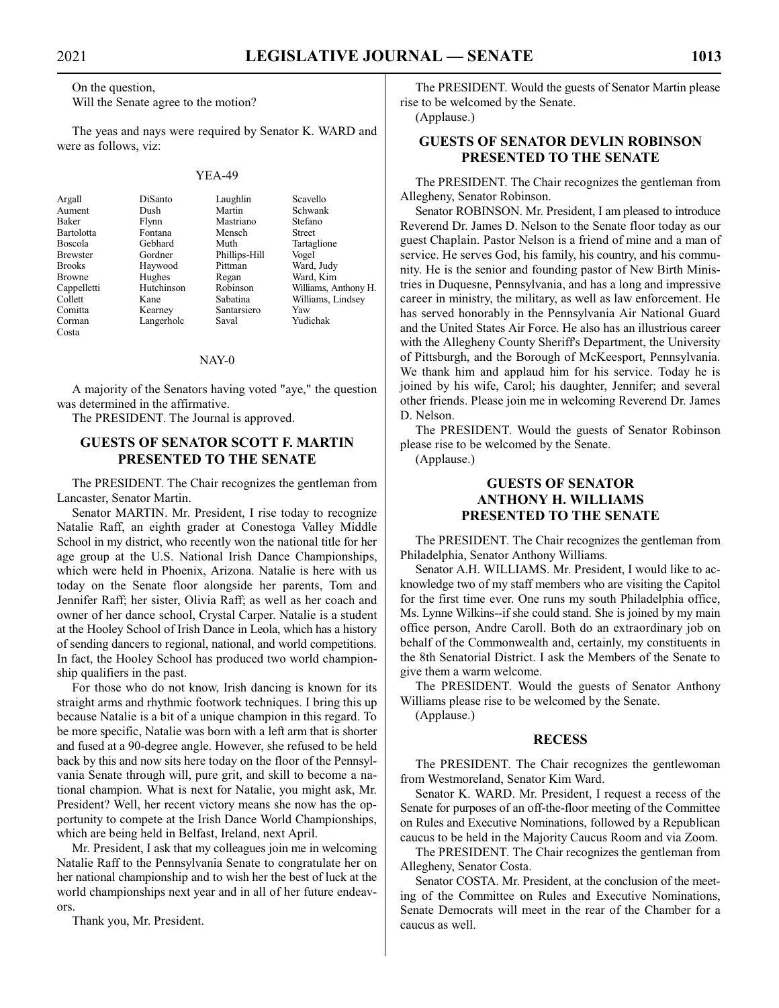On the question,

Will the Senate agree to the motion?

The yeas and nays were required by Senator K. WARD and were as follows, viz:

### YEA-49

Bartolotta Comitta Kearney Santarsiero Yaw Corman Langerholc Saval Yudichak Costa

Argall DiSanto Laughlin Scavello Aument Dush Martin Schwank Flynn Mastriano Stefan<br>Fontana Mensch Street Boscola Gebhard Muth Tartaglione Gordner Phillips-Hill<br>Haywood Pittman Brooks Haywood Pittman Ward, Judy

Browne Hughes Regan Ward, Kim<br>
Cappelletti Hutchinson Robinson Williams, A Cappelletti Hutchinson Robinson Williams, Anthony H. Kane Sabatina Williams, Lindsey<br>
Kearney Santarsiero Yaw

### NAY-0

A majority of the Senators having voted "aye," the question was determined in the affirmative.

The PRESIDENT. The Journal is approved.

# **GUESTS OF SENATOR SCOTT F. MARTIN PRESENTED TO THE SENATE**

The PRESIDENT. The Chair recognizes the gentleman from Lancaster, Senator Martin.

Senator MARTIN. Mr. President, I rise today to recognize Natalie Raff, an eighth grader at Conestoga Valley Middle School in my district, who recently won the national title for her age group at the U.S. National Irish Dance Championships, which were held in Phoenix, Arizona. Natalie is here with us today on the Senate floor alongside her parents, Tom and Jennifer Raff; her sister, Olivia Raff; as well as her coach and owner of her dance school, Crystal Carper. Natalie is a student at the Hooley School of Irish Dance in Leola, which has a history of sending dancers to regional, national, and world competitions. In fact, the Hooley School has produced two world championship qualifiers in the past.

For those who do not know, Irish dancing is known for its straight arms and rhythmic footwork techniques. I bring this up because Natalie is a bit of a unique champion in this regard. To be more specific, Natalie was born with a left arm that is shorter and fused at a 90-degree angle. However, she refused to be held back by this and now sits here today on the floor of the Pennsylvania Senate through will, pure grit, and skill to become a national champion. What is next for Natalie, you might ask, Mr. President? Well, her recent victory means she now has the opportunity to compete at the Irish Dance World Championships, which are being held in Belfast, Ireland, next April.

Mr. President, I ask that my colleagues join me in welcoming Natalie Raff to the Pennsylvania Senate to congratulate her on her national championship and to wish her the best of luck at the world championships next year and in all of her future endeavors.

Thank you, Mr. President.

The PRESIDENT. Would the guests of Senator Martin please rise to be welcomed by the Senate.

(Applause.)

# **GUESTS OF SENATOR DEVLIN ROBINSON PRESENTED TO THE SENATE**

The PRESIDENT. The Chair recognizes the gentleman from Allegheny, Senator Robinson.

Senator ROBINSON. Mr. President, I am pleased to introduce Reverend Dr. James D. Nelson to the Senate floor today as our guest Chaplain. Pastor Nelson is a friend of mine and a man of service. He serves God, his family, his country, and his community. He is the senior and founding pastor of New Birth Ministries in Duquesne, Pennsylvania, and has a long and impressive career in ministry, the military, as well as law enforcement. He has served honorably in the Pennsylvania Air National Guard and the United States Air Force. He also has an illustrious career with the Allegheny County Sheriff's Department, the University of Pittsburgh, and the Borough of McKeesport, Pennsylvania. We thank him and applaud him for his service. Today he is joined by his wife, Carol; his daughter, Jennifer; and several other friends. Please join me in welcoming Reverend Dr. James D. Nelson.

The PRESIDENT. Would the guests of Senator Robinson please rise to be welcomed by the Senate.

(Applause.)

# **GUESTS OF SENATOR ANTHONY H. WILLIAMS PRESENTED TO THE SENATE**

The PRESIDENT. The Chair recognizes the gentleman from Philadelphia, Senator Anthony Williams.

Senator A.H. WILLIAMS. Mr. President, I would like to acknowledge two of my staff members who are visiting the Capitol for the first time ever. One runs my south Philadelphia office, Ms. Lynne Wilkins--if she could stand. She is joined by my main office person, Andre Caroll. Both do an extraordinary job on behalf of the Commonwealth and, certainly, my constituents in the 8th Senatorial District. I ask the Members of the Senate to give them a warm welcome.

The PRESIDENT. Would the guests of Senator Anthony Williams please rise to be welcomed by the Senate.

(Applause.)

### **RECESS**

The PRESIDENT. The Chair recognizes the gentlewoman from Westmoreland, Senator Kim Ward.

Senator K. WARD. Mr. President, I request a recess of the Senate for purposes of an off-the-floor meeting of the Committee on Rules and Executive Nominations, followed by a Republican caucus to be held in the Majority Caucus Room and via Zoom.

The PRESIDENT. The Chair recognizes the gentleman from Allegheny, Senator Costa.

Senator COSTA. Mr. President, at the conclusion of the meeting of the Committee on Rules and Executive Nominations, Senate Democrats will meet in the rear of the Chamber for a caucus as well.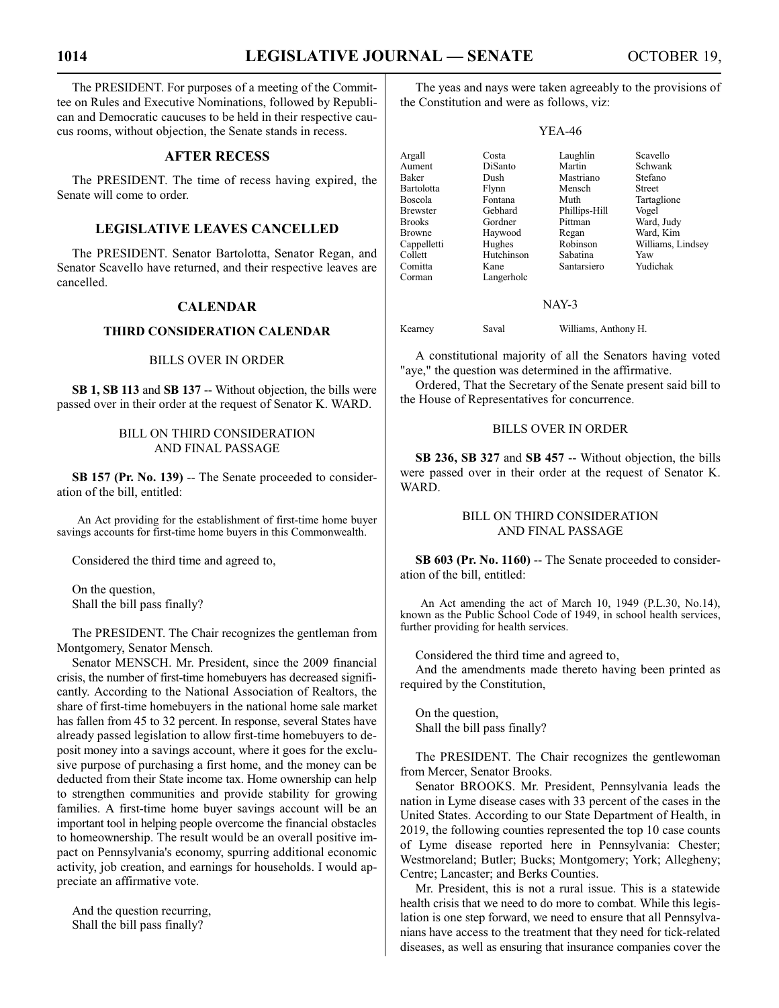The PRESIDENT. For purposes of a meeting of the Committee on Rules and Executive Nominations, followed by Republican and Democratic caucuses to be held in their respective caucus rooms, without objection, the Senate stands in recess.

# **AFTER RECESS**

The PRESIDENT. The time of recess having expired, the Senate will come to order.

# **LEGISLATIVE LEAVES CANCELLED**

The PRESIDENT. Senator Bartolotta, Senator Regan, and Senator Scavello have returned, and their respective leaves are cancelled.

# **CALENDAR**

# **THIRD CONSIDERATION CALENDAR**

### BILLS OVER IN ORDER

**SB 1, SB 113** and **SB 137** -- Without objection, the bills were passed over in their order at the request of Senator K. WARD.

# BILL ON THIRD CONSIDERATION AND FINAL PASSAGE

**SB 157 (Pr. No. 139)** -- The Senate proceeded to consideration of the bill, entitled:

An Act providing for the establishment of first-time home buyer savings accounts for first-time home buyers in this Commonwealth.

Considered the third time and agreed to,

On the question, Shall the bill pass finally?

The PRESIDENT. The Chair recognizes the gentleman from Montgomery, Senator Mensch.

Senator MENSCH. Mr. President, since the 2009 financial crisis, the number of first-time homebuyers has decreased significantly. According to the National Association of Realtors, the share of first-time homebuyers in the national home sale market has fallen from 45 to 32 percent. In response, several States have already passed legislation to allow first-time homebuyers to deposit money into a savings account, where it goes for the exclusive purpose of purchasing a first home, and the money can be deducted from their State income tax. Home ownership can help to strengthen communities and provide stability for growing families. A first-time home buyer savings account will be an important tool in helping people overcome the financial obstacles to homeownership. The result would be an overall positive impact on Pennsylvania's economy, spurring additional economic activity, job creation, and earnings for households. I would appreciate an affirmative vote.

And the question recurring, Shall the bill pass finally?

The yeas and nays were taken agreeably to the provisions of the Constitution and were as follows, viz:

### YEA-46

| Argall            | Costa      | Laughlin      | Scavello          |
|-------------------|------------|---------------|-------------------|
| Aument            | DiSanto    | Martin        | Schwank           |
| Baker             | Dush       | Mastriano     | Stefano           |
| <b>Bartolotta</b> | Flynn      | Mensch        | <b>Street</b>     |
| Boscola           | Fontana    | Muth          | Tartaglione       |
| <b>Brewster</b>   | Gebhard    | Phillips-Hill | Vogel             |
| <b>Brooks</b>     | Gordner    | Pittman       | Ward, Judy        |
| <b>Browne</b>     | Haywood    | Regan         | Ward, Kim         |
| Cappelletti       | Hughes     | Robinson      | Williams, Lindsey |
| Collett           | Hutchinson | Sabatina      | Yaw               |
| Comitta           | Kane       | Santarsiero   | Yudichak          |
| Corman            | Langerholc |               |                   |

### NAY-3

Kearney Saval Williams, Anthony H.

A constitutional majority of all the Senators having voted "aye," the question was determined in the affirmative.

Ordered, That the Secretary of the Senate present said bill to the House of Representatives for concurrence.

# BILLS OVER IN ORDER

**SB 236, SB 327** and **SB 457** -- Without objection, the bills were passed over in their order at the request of Senator K. WARD.

# BILL ON THIRD CONSIDERATION AND FINAL PASSAGE

SB 603 (Pr. No. 1160) -- The Senate proceeded to consideration of the bill, entitled:

An Act amending the act of March 10, 1949 (P.L.30, No.14), known as the Public School Code of 1949, in school health services, further providing for health services.

Considered the third time and agreed to,

And the amendments made thereto having been printed as required by the Constitution,

On the question, Shall the bill pass finally?

The PRESIDENT. The Chair recognizes the gentlewoman from Mercer, Senator Brooks.

Senator BROOKS. Mr. President, Pennsylvania leads the nation in Lyme disease cases with 33 percent of the cases in the United States. According to our State Department of Health, in 2019, the following counties represented the top 10 case counts of Lyme disease reported here in Pennsylvania: Chester; Westmoreland; Butler; Bucks; Montgomery; York; Allegheny; Centre; Lancaster; and Berks Counties.

Mr. President, this is not a rural issue. This is a statewide health crisis that we need to do more to combat. While this legislation is one step forward, we need to ensure that all Pennsylvanians have access to the treatment that they need for tick-related diseases, as well as ensuring that insurance companies cover the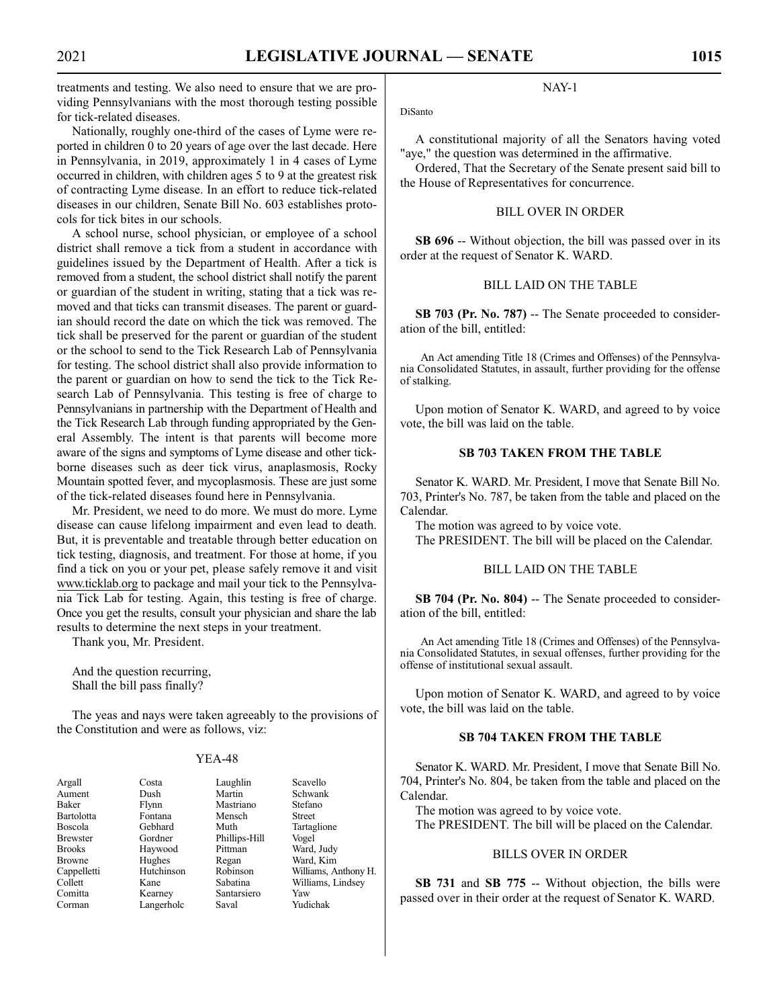treatments and testing. We also need to ensure that we are providing Pennsylvanians with the most thorough testing possible for tick-related diseases.

Nationally, roughly one-third of the cases of Lyme were reported in children 0 to 20 years of age over the last decade. Here in Pennsylvania, in 2019, approximately 1 in 4 cases of Lyme occurred in children, with children ages 5 to 9 at the greatest risk of contracting Lyme disease. In an effort to reduce tick-related diseases in our children, Senate Bill No. 603 establishes protocols for tick bites in our schools.

A school nurse, school physician, or employee of a school district shall remove a tick from a student in accordance with guidelines issued by the Department of Health. After a tick is removed from a student, the school district shall notify the parent or guardian of the student in writing, stating that a tick was removed and that ticks can transmit diseases. The parent or guardian should record the date on which the tick was removed. The tick shall be preserved for the parent or guardian of the student or the school to send to the Tick Research Lab of Pennsylvania for testing. The school district shall also provide information to the parent or guardian on how to send the tick to the Tick Research Lab of Pennsylvania. This testing is free of charge to Pennsylvanians in partnership with the Department of Health and the Tick Research Lab through funding appropriated by the General Assembly. The intent is that parents will become more aware of the signs and symptoms of Lyme disease and other tickborne diseases such as deer tick virus, anaplasmosis, Rocky Mountain spotted fever, and mycoplasmosis. These are just some of the tick-related diseases found here in Pennsylvania.

Mr. President, we need to do more. We must do more. Lyme disease can cause lifelong impairment and even lead to death. But, it is preventable and treatable through better education on tick testing, diagnosis, and treatment. For those at home, if you find a tick on you or your pet, please safely remove it and visit www.ticklab.org to package and mail your tick to the Pennsylvania Tick Lab for testing. Again, this testing is free of charge. Once you get the results, consult your physician and share the lab results to determine the next steps in your treatment.

Thank you, Mr. President.

And the question recurring, Shall the bill pass finally?

The yeas and nays were taken agreeably to the provisions of the Constitution and were as follows, viz:

### YEA-48

Flynn Mastriano Stefano<br>Fontana Mensch Street Fontana Mense<br>Gebhard Muth Gordner Phillips-Hill Vogel<br>Haywood Pittman Ward, Haywood Pittman Ward, Judy<br>Hughes Regan Ward, Kim Hughes Regan Ward, Kim<br>Hutchinson Robinson Williams A Kane Sabatina Williams, Lindsey<br>
Kearney Santarsiero Yaw Langerholc

Costa Laughlin Scavello<br>
Dush Martin Schwanl Schwank Tartaglione Williams, Anthony H. Santarsiero Yaw<br>Saval Yudichak

# NAY-1

DiSanto

A constitutional majority of all the Senators having voted "aye," the question was determined in the affirmative.

Ordered, That the Secretary of the Senate present said bill to the House of Representatives for concurrence.

# BILL OVER IN ORDER

**SB 696** -- Without objection, the bill was passed over in its order at the request of Senator K. WARD.

# BILL LAID ON THE TABLE

**SB 703 (Pr. No. 787)** -- The Senate proceeded to consideration of the bill, entitled:

An Act amending Title 18 (Crimes and Offenses) of the Pennsylvania Consolidated Statutes, in assault, further providing for the offense of stalking.

Upon motion of Senator K. WARD, and agreed to by voice vote, the bill was laid on the table.

# **SB 703 TAKEN FROM THE TABLE**

Senator K. WARD. Mr. President, I move that Senate Bill No. 703, Printer's No. 787, be taken from the table and placed on the Calendar.

The motion was agreed to by voice vote.

The PRESIDENT. The bill will be placed on the Calendar.

# BILL LAID ON THE TABLE

**SB 704 (Pr. No. 804)** -- The Senate proceeded to consideration of the bill, entitled:

An Act amending Title 18 (Crimes and Offenses) of the Pennsylvania Consolidated Statutes, in sexual offenses, further providing for the offense of institutional sexual assault.

Upon motion of Senator K. WARD, and agreed to by voice vote, the bill was laid on the table.

# **SB 704 TAKEN FROM THE TABLE**

Senator K. WARD. Mr. President, I move that Senate Bill No. 704, Printer's No. 804, be taken from the table and placed on the Calendar.

The motion was agreed to by voice vote.

The PRESIDENT. The bill will be placed on the Calendar.

# BILLS OVER IN ORDER

**SB 731** and **SB 775** -- Without objection, the bills were passed over in their order at the request of Senator K. WARD.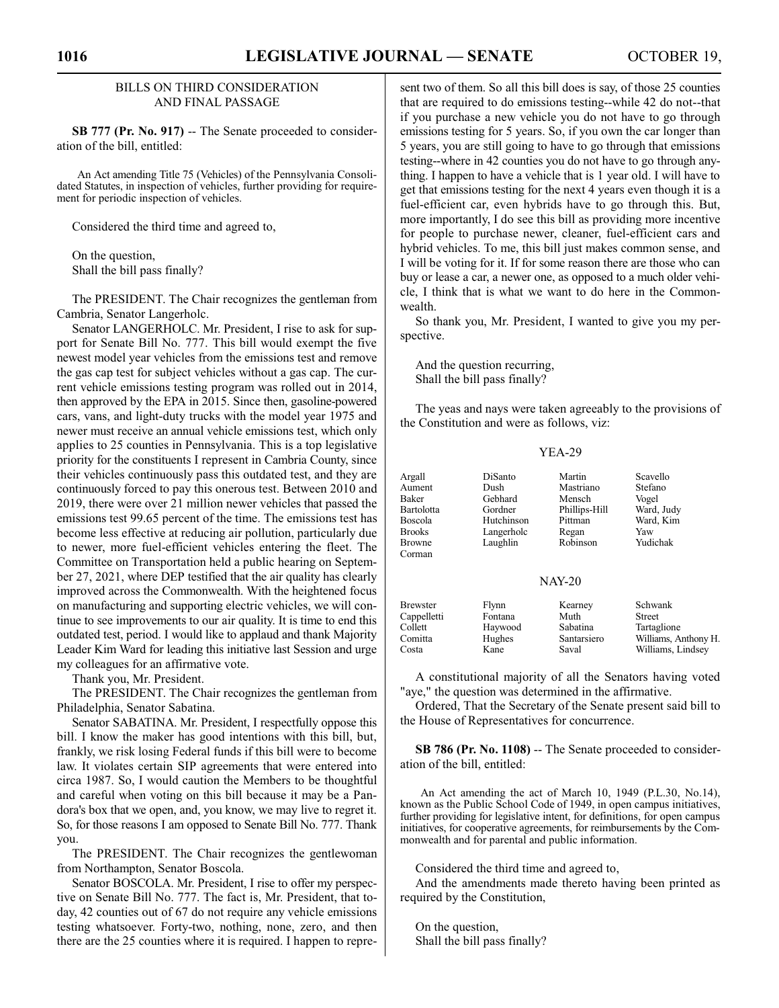# BILLS ON THIRD CONSIDERATION AND FINAL PASSAGE

**SB 777 (Pr. No. 917)** -- The Senate proceeded to consideration of the bill, entitled:

An Act amending Title 75 (Vehicles) of the Pennsylvania Consolidated Statutes, in inspection of vehicles, further providing for requirement for periodic inspection of vehicles.

Considered the third time and agreed to,

On the question, Shall the bill pass finally?

The PRESIDENT. The Chair recognizes the gentleman from Cambria, Senator Langerholc.

Senator LANGERHOLC. Mr. President, I rise to ask for support for Senate Bill No. 777. This bill would exempt the five newest model year vehicles from the emissions test and remove the gas cap test for subject vehicles without a gas cap. The current vehicle emissions testing program was rolled out in 2014, then approved by the EPA in 2015. Since then, gasoline-powered cars, vans, and light-duty trucks with the model year 1975 and newer must receive an annual vehicle emissions test, which only applies to 25 counties in Pennsylvania. This is a top legislative priority for the constituents I represent in Cambria County, since their vehicles continuously pass this outdated test, and they are continuously forced to pay this onerous test. Between 2010 and 2019, there were over 21 million newer vehicles that passed the emissions test 99.65 percent of the time. The emissions test has become less effective at reducing air pollution, particularly due to newer, more fuel-efficient vehicles entering the fleet. The Committee on Transportation held a public hearing on September 27, 2021, where DEP testified that the air quality has clearly improved across the Commonwealth. With the heightened focus on manufacturing and supporting electric vehicles, we will continue to see improvements to our air quality. It is time to end this outdated test, period. I would like to applaud and thank Majority Leader Kim Ward for leading this initiative last Session and urge my colleagues for an affirmative vote.

Thank you, Mr. President.

The PRESIDENT. The Chair recognizes the gentleman from Philadelphia, Senator Sabatina.

Senator SABATINA. Mr. President, I respectfully oppose this bill. I know the maker has good intentions with this bill, but, frankly, we risk losing Federal funds if this bill were to become law. It violates certain SIP agreements that were entered into circa 1987. So, I would caution the Members to be thoughtful and careful when voting on this bill because it may be a Pandora's box that we open, and, you know, we may live to regret it. So, for those reasons I am opposed to Senate Bill No. 777. Thank you.

The PRESIDENT. The Chair recognizes the gentlewoman from Northampton, Senator Boscola.

Senator BOSCOLA. Mr. President, I rise to offer my perspective on Senate Bill No. 777. The fact is, Mr. President, that today, 42 counties out of 67 do not require any vehicle emissions testing whatsoever. Forty-two, nothing, none, zero, and then there are the 25 counties where it is required. I happen to represent two of them. So all this bill does is say, of those 25 counties that are required to do emissions testing--while 42 do not--that if you purchase a new vehicle you do not have to go through emissions testing for 5 years. So, if you own the car longer than 5 years, you are still going to have to go through that emissions testing--where in 42 counties you do not have to go through anything. I happen to have a vehicle that is 1 year old. I will have to get that emissions testing for the next 4 years even though it is a fuel-efficient car, even hybrids have to go through this. But, more importantly, I do see this bill as providing more incentive for people to purchase newer, cleaner, fuel-efficient cars and hybrid vehicles. To me, this bill just makes common sense, and I will be voting for it. If for some reason there are those who can buy or lease a car, a newer one, as opposed to a much older vehicle, I think that is what we want to do here in the Commonwealth.

So thank you, Mr. President, I wanted to give you my perspective.

And the question recurring, Shall the bill pass finally?

The yeas and nays were taken agreeably to the provisions of the Constitution and were as follows, viz:

|--|--|

| Argall<br>Aument<br><b>Baker</b><br><b>Bartolotta</b><br><b>Boscola</b><br><b>Brooks</b><br>Browne<br>Corman | DiSanto<br>Dush<br>Gebhard<br>Gordner<br>Hutchinson<br>Langerholc<br>Laughlin | Martin<br>Mastriano<br>Mensch<br>Phillips-Hill<br>Pittman<br>Regan<br>Robinson | Scavello<br>Stefano<br>Vogel<br>Ward, Judy<br>Ward, Kim<br>Yaw<br>Yudichak    |  |
|--------------------------------------------------------------------------------------------------------------|-------------------------------------------------------------------------------|--------------------------------------------------------------------------------|-------------------------------------------------------------------------------|--|
| <b>NAY-20</b>                                                                                                |                                                                               |                                                                                |                                                                               |  |
| <b>Brewster</b><br>Cappelletti<br>Collett<br>Comitta<br>Costa                                                | Flynn<br>Fontana<br>Haywood<br>Hughes<br>Kane                                 | Kearney<br>Muth<br>Sabatina<br>Santarsiero<br>Saval                            | Schwank<br>Street<br>Tartaglione<br>Williams, Anthony H.<br>Williams, Lindsey |  |

A constitutional majority of all the Senators having voted "aye," the question was determined in the affirmative.

Ordered, That the Secretary of the Senate present said bill to the House of Representatives for concurrence.

**SB 786 (Pr. No. 1108)** -- The Senate proceeded to consideration of the bill, entitled:

An Act amending the act of March 10, 1949 (P.L.30, No.14), known as the Public School Code of 1949, in open campus initiatives, further providing for legislative intent, for definitions, for open campus initiatives, for cooperative agreements, for reimbursements by the Commonwealth and for parental and public information.

Considered the third time and agreed to,

And the amendments made thereto having been printed as required by the Constitution,

On the question, Shall the bill pass finally?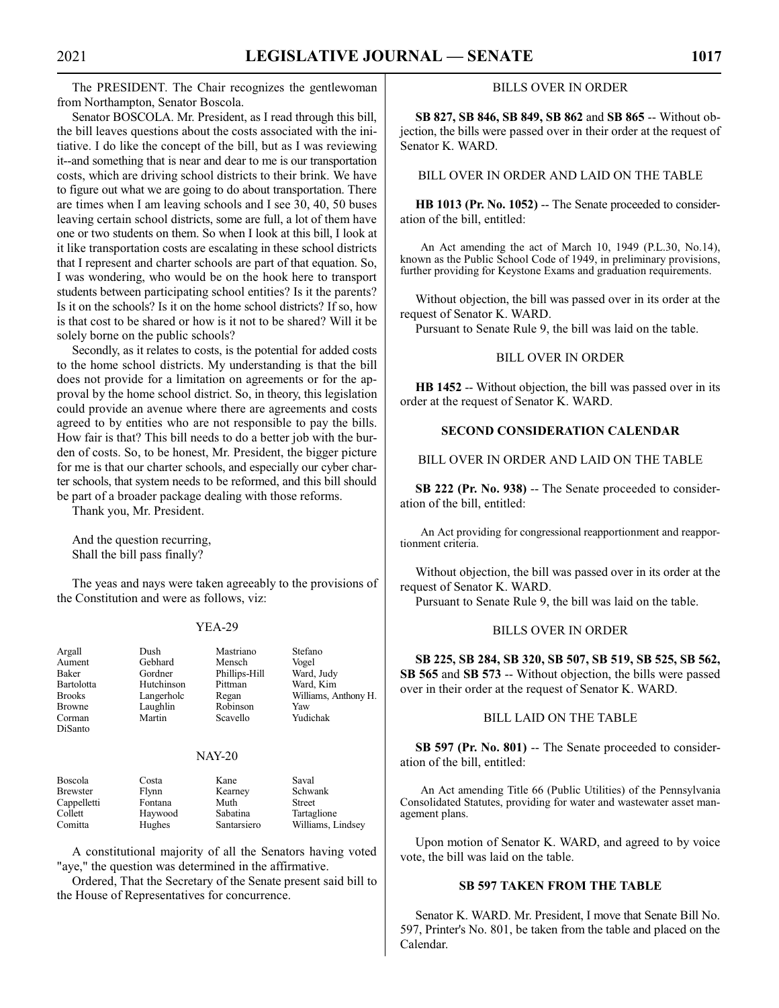The PRESIDENT. The Chair recognizes the gentlewoman from Northampton, Senator Boscola.

Senator BOSCOLA. Mr. President, as I read through this bill, the bill leaves questions about the costs associated with the initiative. I do like the concept of the bill, but as I was reviewing it--and something that is near and dear to me is our transportation costs, which are driving school districts to their brink. We have to figure out what we are going to do about transportation. There are times when I am leaving schools and I see 30, 40, 50 buses leaving certain school districts, some are full, a lot of them have one or two students on them. So when I look at this bill, I look at it like transportation costs are escalating in these school districts that I represent and charter schools are part of that equation. So, I was wondering, who would be on the hook here to transport students between participating school entities? Is it the parents? Is it on the schools? Is it on the home school districts? If so, how is that cost to be shared or how is it not to be shared? Will it be solely borne on the public schools?

Secondly, as it relates to costs, is the potential for added costs to the home school districts. My understanding is that the bill does not provide for a limitation on agreements or for the approval by the home school district. So, in theory, this legislation could provide an avenue where there are agreements and costs agreed to by entities who are not responsible to pay the bills. How fair is that? This bill needs to do a better job with the burden of costs. So, to be honest, Mr. President, the bigger picture for me is that our charter schools, and especially our cyber charter schools, that system needs to be reformed, and this bill should be part of a broader package dealing with those reforms.

Thank you, Mr. President.

And the question recurring, Shall the bill pass finally?

The yeas and nays were taken agreeably to the provisions of the Constitution and were as follows, viz:

### YEA-29

| Argall<br>Aument<br>Baker<br>Bartolotta<br><b>Brooks</b><br><b>Browne</b><br>Corman<br>DiSanto | Dush<br>Gebhard<br>Gordner<br>Hutchinson<br>Langerholc<br>Laughlin<br>Martin | Mastriano<br>Mensch<br>Phillips-Hill<br>Pittman<br>Regan<br>Robinson<br>Scavello | Stefano<br>Vogel<br>Ward, Judy<br>Ward, Kim<br>Williams, Anthony H.<br>Yaw<br>Yudichak |
|------------------------------------------------------------------------------------------------|------------------------------------------------------------------------------|----------------------------------------------------------------------------------|----------------------------------------------------------------------------------------|
|                                                                                                |                                                                              |                                                                                  |                                                                                        |
|                                                                                                |                                                                              |                                                                                  |                                                                                        |

### NAY-20

| Boscola         | Costa   | Kane        | Saval             |
|-----------------|---------|-------------|-------------------|
| <b>Brewster</b> | Flynn   | Kearney     | Schwank           |
| Cappelletti     | Fontana | Muth        | <b>Street</b>     |
| Collett         | Haywood | Sabatina    | Tartaglione       |
| Comitta         | Hughes  | Santarsiero | Williams, Lindsey |

A constitutional majority of all the Senators having voted "aye," the question was determined in the affirmative.

Ordered, That the Secretary of the Senate present said bill to the House of Representatives for concurrence.

# BILLS OVER IN ORDER

**SB 827, SB 846, SB 849, SB 862** and **SB 865** -- Without objection, the bills were passed over in their order at the request of Senator K. WARD.

# BILL OVER IN ORDER AND LAID ON THE TABLE

HB 1013 (Pr. No. 1052) -- The Senate proceeded to consideration of the bill, entitled:

An Act amending the act of March 10, 1949 (P.L.30, No.14), known as the Public School Code of 1949, in preliminary provisions, further providing for Keystone Exams and graduation requirements.

Without objection, the bill was passed over in its order at the request of Senator K. WARD.

Pursuant to Senate Rule 9, the bill was laid on the table.

# BILL OVER IN ORDER

**HB 1452** -- Without objection, the bill was passed over in its order at the request of Senator K. WARD.

# **SECOND CONSIDERATION CALENDAR**

BILL OVER IN ORDER AND LAID ON THE TABLE

**SB 222 (Pr. No. 938)** -- The Senate proceeded to consideration of the bill, entitled:

An Act providing for congressional reapportionment and reapportionment criteria.

Without objection, the bill was passed over in its order at the request of Senator K. WARD.

Pursuant to Senate Rule 9, the bill was laid on the table.

### BILLS OVER IN ORDER

**SB 225, SB 284, SB 320, SB 507, SB 519, SB 525, SB 562, SB 565** and **SB 573** -- Without objection, the bills were passed over in their order at the request of Senator K. WARD.

### BILL LAID ON THE TABLE

**SB 597 (Pr. No. 801)** -- The Senate proceeded to consideration of the bill, entitled:

An Act amending Title 66 (Public Utilities) of the Pennsylvania Consolidated Statutes, providing for water and wastewater asset management plans.

Upon motion of Senator K. WARD, and agreed to by voice vote, the bill was laid on the table.

### **SB 597 TAKEN FROM THE TABLE**

Senator K. WARD. Mr. President, I move that Senate Bill No. 597, Printer's No. 801, be taken from the table and placed on the Calendar.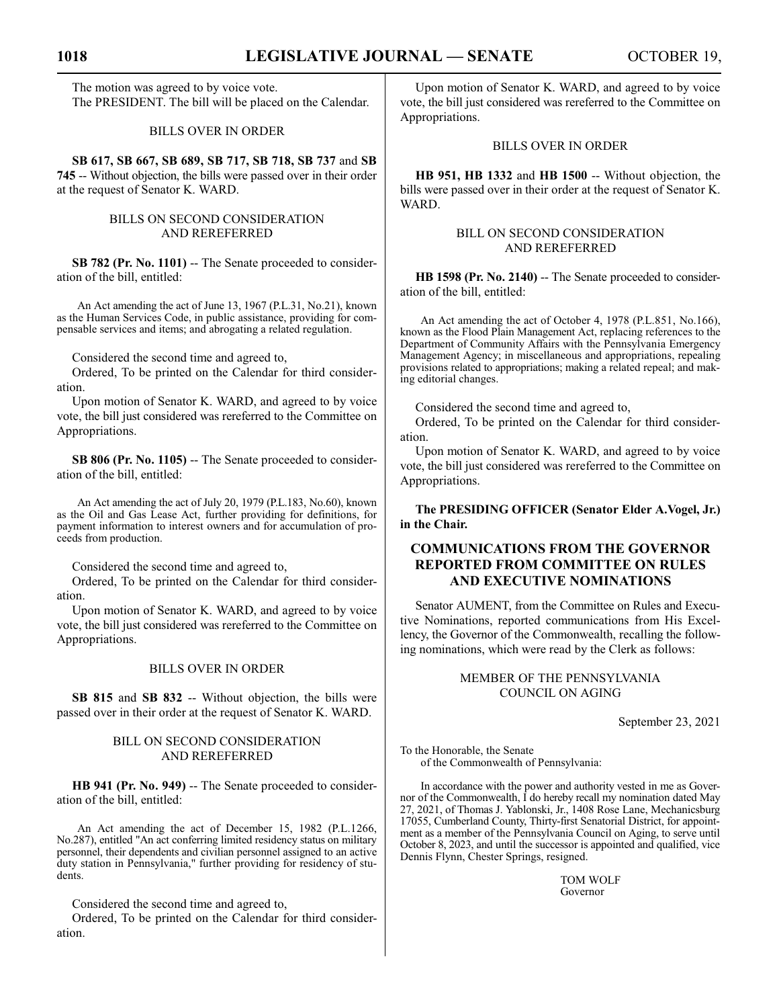The motion was agreed to by voice vote. The PRESIDENT. The bill will be placed on the Calendar.

# BILLS OVER IN ORDER

**SB 617, SB 667, SB 689, SB 717, SB 718, SB 737** and **SB 745** -- Without objection, the bills were passed over in their order at the request of Senator K. WARD.

# BILLS ON SECOND CONSIDERATION AND REREFERRED

**SB 782 (Pr. No. 1101)** -- The Senate proceeded to consideration of the bill, entitled:

An Act amending the act of June 13, 1967 (P.L.31, No.21), known as the Human Services Code, in public assistance, providing for compensable services and items; and abrogating a related regulation.

Considered the second time and agreed to,

Ordered, To be printed on the Calendar for third consideration.

Upon motion of Senator K. WARD, and agreed to by voice vote, the bill just considered was rereferred to the Committee on Appropriations.

**SB 806 (Pr. No. 1105)** -- The Senate proceeded to consideration of the bill, entitled:

An Act amending the act of July 20, 1979 (P.L.183, No.60), known as the Oil and Gas Lease Act, further providing for definitions, for payment information to interest owners and for accumulation of proceeds from production.

Considered the second time and agreed to,

Ordered, To be printed on the Calendar for third consideration.

Upon motion of Senator K. WARD, and agreed to by voice vote, the bill just considered was rereferred to the Committee on Appropriations.

# BILLS OVER IN ORDER

**SB 815** and **SB 832** -- Without objection, the bills were passed over in their order at the request of Senator K. WARD.

# BILL ON SECOND CONSIDERATION AND REREFERRED

**HB 941 (Pr. No. 949)** -- The Senate proceeded to consideration of the bill, entitled:

An Act amending the act of December 15, 1982 (P.L.1266, No.287), entitled "An act conferring limited residency status on military personnel, their dependents and civilian personnel assigned to an active duty station in Pennsylvania," further providing for residency of students.

Considered the second time and agreed to,

Ordered, To be printed on the Calendar for third consideration.

Upon motion of Senator K. WARD, and agreed to by voice vote, the bill just considered was rereferred to the Committee on Appropriations.

# BILLS OVER IN ORDER

**HB 951, HB 1332** and **HB 1500** -- Without objection, the bills were passed over in their order at the request of Senator K. WARD.

# BILL ON SECOND CONSIDERATION AND REREFERRED

HB 1598 (Pr. No. 2140) -- The Senate proceeded to consideration of the bill, entitled:

An Act amending the act of October 4, 1978 (P.L.851, No.166), known as the Flood Plain Management Act, replacing references to the Department of Community Affairs with the Pennsylvania Emergency Management Agency; in miscellaneous and appropriations, repealing provisions related to appropriations; making a related repeal; and making editorial changes.

Considered the second time and agreed to,

Ordered, To be printed on the Calendar for third consideration.

Upon motion of Senator K. WARD, and agreed to by voice vote, the bill just considered was rereferred to the Committee on Appropriations.

**The PRESIDING OFFICER (Senator Elder A.Vogel, Jr.) in the Chair.**

# **COMMUNICATIONS FROM THE GOVERNOR REPORTED FROM COMMITTEE ON RULES AND EXECUTIVE NOMINATIONS**

Senator AUMENT, from the Committee on Rules and Executive Nominations, reported communications from His Excellency, the Governor of the Commonwealth, recalling the following nominations, which were read by the Clerk as follows:

> MEMBER OF THE PENNSYLVANIA COUNCIL ON AGING

> > September 23, 2021

To the Honorable, the Senate of the Commonwealth of Pennsylvania:

In accordance with the power and authority vested in me as Governor of the Commonwealth, I do hereby recall my nomination dated May 27, 2021, of Thomas J. Yablonski, Jr., 1408 Rose Lane, Mechanicsburg 17055, Cumberland County, Thirty-first Senatorial District, for appointment as a member of the Pennsylvania Council on Aging, to serve until October 8, 2023, and until the successor is appointed and qualified, vice Dennis Flynn, Chester Springs, resigned.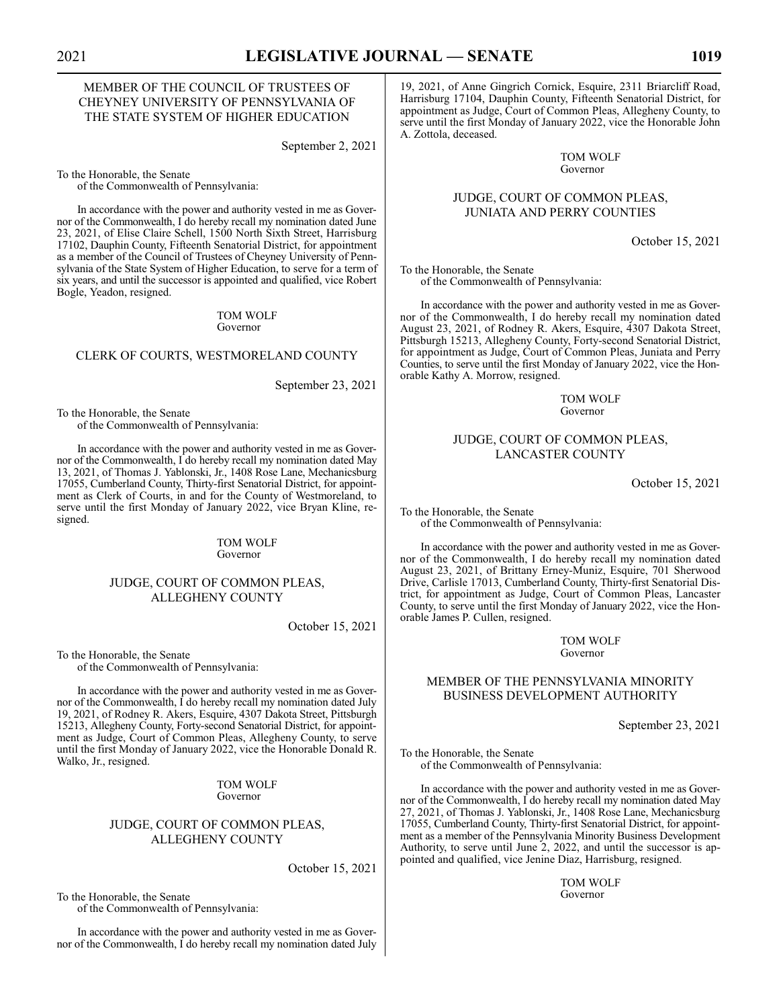# MEMBER OF THE COUNCIL OF TRUSTEES OF CHEYNEY UNIVERSITY OF PENNSYLVANIA OF THE STATE SYSTEM OF HIGHER EDUCATION

September 2, 2021

To the Honorable, the Senate of the Commonwealth of Pennsylvania:

In accordance with the power and authority vested in me as Governor of the Commonwealth, I do hereby recall my nomination dated June 23, 2021, of Elise Claire Schell, 1500 North Sixth Street, Harrisburg 17102, Dauphin County, Fifteenth Senatorial District, for appointment as a member of the Council of Trustees of Cheyney University of Pennsylvania of the State System of Higher Education, to serve for a term of six years, and until the successor is appointed and qualified, vice Robert Bogle, Yeadon, resigned.

> TOM WOLF Governor

### CLERK OF COURTS, WESTMORELAND COUNTY

September 23, 2021

To the Honorable, the Senate of the Commonwealth of Pennsylvania:

In accordance with the power and authority vested in me as Governor of the Commonwealth, I do hereby recall my nomination dated May 13, 2021, of Thomas J. Yablonski, Jr., 1408 Rose Lane, Mechanicsburg 17055, Cumberland County, Thirty-first Senatorial District, for appointment as Clerk of Courts, in and for the County of Westmoreland, to serve until the first Monday of January 2022, vice Bryan Kline, resigned.

> TOM WOLF Governor

# JUDGE, COURT OF COMMON PLEAS, ALLEGHENY COUNTY

October 15, 2021

To the Honorable, the Senate of the Commonwealth of Pennsylvania:

In accordance with the power and authority vested in me as Governor of the Commonwealth, I do hereby recall my nomination dated July 19, 2021, of Rodney R. Akers, Esquire, 4307 Dakota Street, Pittsburgh 15213, Allegheny County, Forty-second Senatorial District, for appointment as Judge, Court of Common Pleas, Allegheny County, to serve until the first Monday of January 2022, vice the Honorable Donald R. Walko, Jr., resigned.

> TOM WOLF Governor

# JUDGE, COURT OF COMMON PLEAS, ALLEGHENY COUNTY

October 15, 2021

To the Honorable, the Senate of the Commonwealth of Pennsylvania:

In accordance with the power and authority vested in me as Governor of the Commonwealth, I do hereby recall my nomination dated July

19, 2021, of Anne Gingrich Cornick, Esquire, 2311 Briarcliff Road, Harrisburg 17104, Dauphin County, Fifteenth Senatorial District, for appointment as Judge, Court of Common Pleas, Allegheny County, to serve until the first Monday of January 2022, vice the Honorable John A. Zottola, deceased.

> TOM WOLF Governor

# JUDGE, COURT OF COMMON PLEAS, JUNIATA AND PERRY COUNTIES

October 15, 2021

To the Honorable, the Senate of the Commonwealth of Pennsylvania:

In accordance with the power and authority vested in me as Governor of the Commonwealth, I do hereby recall my nomination dated August 23, 2021, of Rodney R. Akers, Esquire, 4307 Dakota Street, Pittsburgh 15213, Allegheny County, Forty-second Senatorial District, for appointment as Judge, Court of Common Pleas, Juniata and Perry Counties, to serve until the first Monday of January 2022, vice the Honorable Kathy A. Morrow, resigned.

> TOM WOLF Governor

# JUDGE, COURT OF COMMON PLEAS, LANCASTER COUNTY

October 15, 2021

To the Honorable, the Senate of the Commonwealth of Pennsylvania:

In accordance with the power and authority vested in me as Governor of the Commonwealth, I do hereby recall my nomination dated August 23, 2021, of Brittany Erney-Muniz, Esquire, 701 Sherwood Drive, Carlisle 17013, Cumberland County, Thirty-first Senatorial District, for appointment as Judge, Court of Common Pleas, Lancaster County, to serve until the first Monday of January 2022, vice the Honorable James P. Cullen, resigned.

> TOM WOLF Governor

# MEMBER OF THE PENNSYLVANIA MINORITY BUSINESS DEVELOPMENT AUTHORITY

September 23, 2021

To the Honorable, the Senate of the Commonwealth of Pennsylvania:

In accordance with the power and authority vested in me as Governor of the Commonwealth, I do hereby recall my nomination dated May 27, 2021, of Thomas J. Yablonski, Jr., 1408 Rose Lane, Mechanicsburg 17055, Cumberland County, Thirty-first Senatorial District, for appointment as a member of the Pennsylvania Minority Business Development Authority, to serve until June 2, 2022, and until the successor is appointed and qualified, vice Jenine Diaz, Harrisburg, resigned.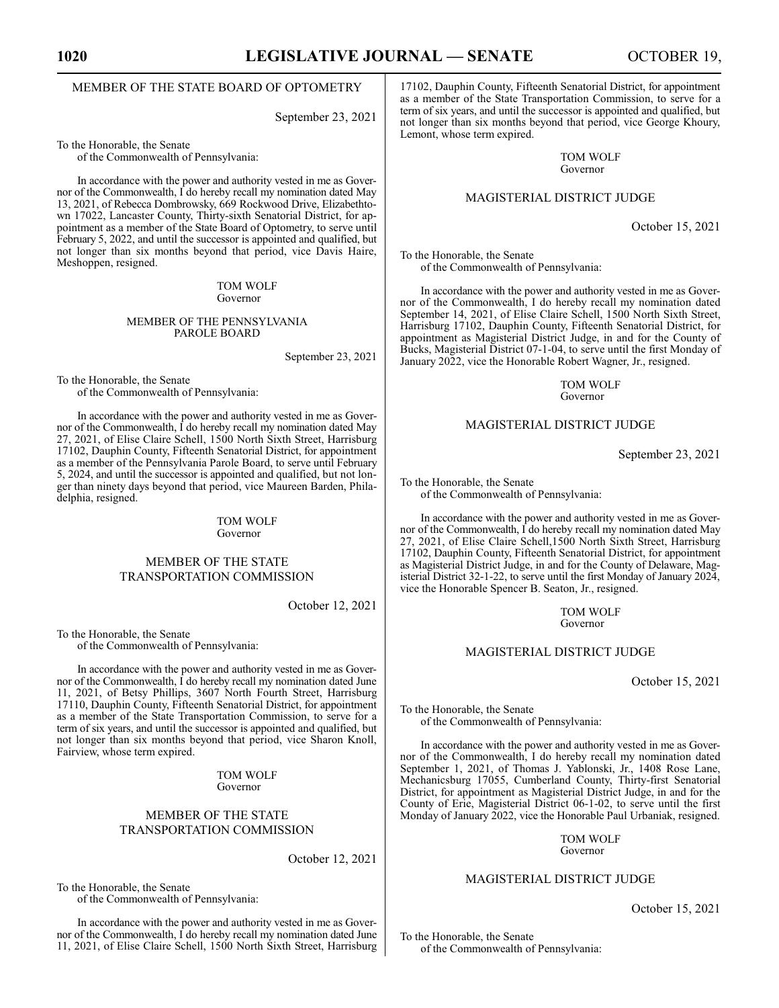# MEMBER OF THE STATE BOARD OF OPTOMETRY

September 23, 2021

To the Honorable, the Senate

of the Commonwealth of Pennsylvania:

In accordance with the power and authority vested in me as Governor of the Commonwealth, I do hereby recall my nomination dated May 13, 2021, of Rebecca Dombrowsky, 669 Rockwood Drive, Elizabethtown 17022, Lancaster County, Thirty-sixth Senatorial District, for appointment as a member of the State Board of Optometry, to serve until February 5, 2022, and until the successor is appointed and qualified, but not longer than six months beyond that period, vice Davis Haire, Meshoppen, resigned.

### TOM WOLF Governor

### MEMBER OF THE PENNSYLVANIA PAROLE BOARD

September 23, 2021

To the Honorable, the Senate of the Commonwealth of Pennsylvania:

In accordance with the power and authority vested in me as Governor of the Commonwealth, I do hereby recall my nomination dated May 27, 2021, of Elise Claire Schell, 1500 North Sixth Street, Harrisburg 17102, Dauphin County, Fifteenth Senatorial District, for appointment as a member of the Pennsylvania Parole Board, to serve until February 5, 2024, and until the successor is appointed and qualified, but not longer than ninety days beyond that period, vice Maureen Barden, Philadelphia, resigned.

### TOM WOLF Governor

# MEMBER OF THE STATE TRANSPORTATION COMMISSION

October 12, 2021

To the Honorable, the Senate of the Commonwealth of Pennsylvania:

In accordance with the power and authority vested in me as Governor of the Commonwealth,  $\hat{I}$  do hereby recall my nomination dated June 11, 2021, of Betsy Phillips, 3607 North Fourth Street, Harrisburg 17110, Dauphin County, Fifteenth Senatorial District, for appointment as a member of the State Transportation Commission, to serve for a term of six years, and until the successor is appointed and qualified, but not longer than six months beyond that period, vice Sharon Knoll, Fairview, whose term expired.

> TOM WOLF Governor

# MEMBER OF THE STATE TRANSPORTATION COMMISSION

October 12, 2021

To the Honorable, the Senate of the Commonwealth of Pennsylvania:

In accordance with the power and authority vested in me as Governor of the Commonwealth, I do hereby recall my nomination dated June 11, 2021, of Elise Claire Schell, 1500 North Sixth Street, Harrisburg 17102, Dauphin County, Fifteenth Senatorial District, for appointment as a member of the State Transportation Commission, to serve for a term of six years, and until the successor is appointed and qualified, but not longer than six months beyond that period, vice George Khoury, Lemont, whose term expired.

> TOM WOLF Governor

### MAGISTERIAL DISTRICT JUDGE

October 15, 2021

To the Honorable, the Senate of the Commonwealth of Pennsylvania:

In accordance with the power and authority vested in me as Governor of the Commonwealth, I do hereby recall my nomination dated September 14, 2021, of Elise Claire Schell, 1500 North Sixth Street, Harrisburg 17102, Dauphin County, Fifteenth Senatorial District, for appointment as Magisterial District Judge, in and for the County of Bucks, Magisterial District 07-1-04, to serve until the first Monday of January 2022, vice the Honorable Robert Wagner, Jr., resigned.

> TOM WOLF Governor

### MAGISTERIAL DISTRICT JUDGE

September 23, 2021

To the Honorable, the Senate

of the Commonwealth of Pennsylvania:

In accordance with the power and authority vested in me as Governor of the Commonwealth, I do hereby recall my nomination dated May 27, 2021, of Elise Claire Schell,1500 North Sixth Street, Harrisburg 17102, Dauphin County, Fifteenth Senatorial District, for appointment as Magisterial District Judge, in and for the County of Delaware, Magisterial District 32-1-22, to serve until the first Monday of January 2024, vice the Honorable Spencer B. Seaton, Jr., resigned.

> TOM WOLF Governor

# MAGISTERIAL DISTRICT JUDGE

October 15, 2021

To the Honorable, the Senate of the Commonwealth of Pennsylvania:

In accordance with the power and authority vested in me as Governor of the Commonwealth, I do hereby recall my nomination dated September 1, 2021, of Thomas J. Yablonski, Jr., 1408 Rose Lane, Mechanicsburg 17055, Cumberland County, Thirty-first Senatorial District, for appointment as Magisterial District Judge, in and for the County of Erie, Magisterial District 06-1-02, to serve until the first Monday of January 2022, vice the Honorable Paul Urbaniak, resigned.

> TOM WOLF Governor

### MAGISTERIAL DISTRICT JUDGE

October 15, 2021

To the Honorable, the Senate

of the Commonwealth of Pennsylvania: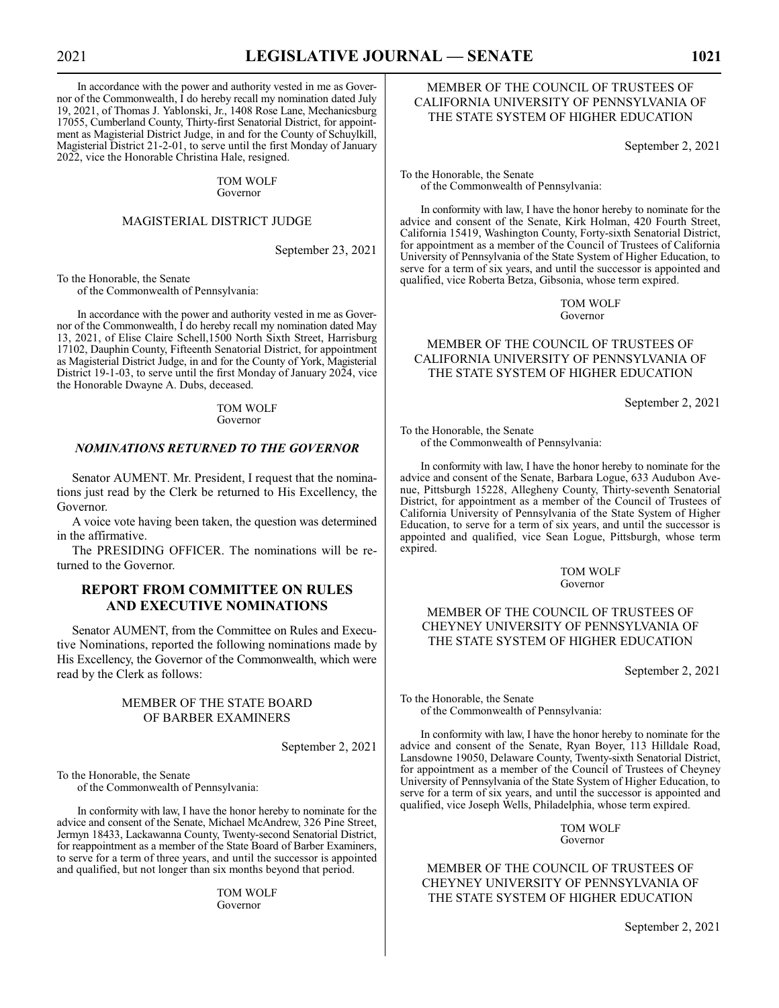In accordance with the power and authority vested in me as Governor of the Commonwealth, I do hereby recall my nomination dated July 19, 2021, of Thomas J. Yablonski, Jr., 1408 Rose Lane, Mechanicsburg 17055, Cumberland County, Thirty-first Senatorial District, for appointment as Magisterial District Judge, in and for the County of Schuylkill, Magisterial District 21-2-01, to serve until the first Monday of January 2022, vice the Honorable Christina Hale, resigned.

> TOM WOLF Governor

# MAGISTERIAL DISTRICT JUDGE

September 23, 2021

To the Honorable, the Senate of the Commonwealth of Pennsylvania:

In accordance with the power and authority vested in me as Governor of the Commonwealth, I do hereby recall my nomination dated May 13, 2021, of Elise Claire Schell,1500 North Sixth Street, Harrisburg 17102, Dauphin County, Fifteenth Senatorial District, for appointment as Magisterial District Judge, in and for the County of York, Magisterial District 19-1-03, to serve until the first Monday of January 2024, vice the Honorable Dwayne A. Dubs, deceased.

> TOM WOLF Governor

# *NOMINATIONS RETURNED TO THE GOVERNOR*

Senator AUMENT. Mr. President, I request that the nominations just read by the Clerk be returned to His Excellency, the Governor.

A voice vote having been taken, the question was determined in the affirmative.

The PRESIDING OFFICER. The nominations will be returned to the Governor.

# **REPORT FROM COMMITTEE ON RULES AND EXECUTIVE NOMINATIONS**

Senator AUMENT, from the Committee on Rules and Executive Nominations, reported the following nominations made by His Excellency, the Governor of the Commonwealth, which were read by the Clerk as follows:

# MEMBER OF THE STATE BOARD OF BARBER EXAMINERS

September 2, 2021

To the Honorable, the Senate of the Commonwealth of Pennsylvania:

In conformity with law, I have the honor hereby to nominate for the advice and consent of the Senate, Michael McAndrew, 326 Pine Street, Jermyn 18433, Lackawanna County, Twenty-second Senatorial District, for reappointment as a member of the State Board of Barber Examiners, to serve for a term of three years, and until the successor is appointed and qualified, but not longer than six months beyond that period.

> TOM WOLF Governor

# MEMBER OF THE COUNCIL OF TRUSTEES OF CALIFORNIA UNIVERSITY OF PENNSYLVANIA OF THE STATE SYSTEM OF HIGHER EDUCATION

September 2, 2021

To the Honorable, the Senate of the Commonwealth of Pennsylvania:

In conformity with law, I have the honor hereby to nominate for the advice and consent of the Senate, Kirk Holman, 420 Fourth Street, California 15419, Washington County, Forty-sixth Senatorial District, for appointment as a member of the Council of Trustees of California University of Pennsylvania of the State System of Higher Education, to serve for a term of six years, and until the successor is appointed and qualified, vice Roberta Betza, Gibsonia, whose term expired.

> TOM WOLF Governor

# MEMBER OF THE COUNCIL OF TRUSTEES OF CALIFORNIA UNIVERSITY OF PENNSYLVANIA OF THE STATE SYSTEM OF HIGHER EDUCATION

September 2, 2021

To the Honorable, the Senate of the Commonwealth of Pennsylvania:

In conformity with law, I have the honor hereby to nominate for the advice and consent of the Senate, Barbara Logue, 633 Audubon Avenue, Pittsburgh 15228, Allegheny County, Thirty-seventh Senatorial District, for appointment as a member of the Council of Trustees of California University of Pennsylvania of the State System of Higher Education, to serve for a term of six years, and until the successor is appointed and qualified, vice Sean Logue, Pittsburgh, whose term expired.

> TOM WOLF Governor

# MEMBER OF THE COUNCIL OF TRUSTEES OF CHEYNEY UNIVERSITY OF PENNSYLVANIA OF THE STATE SYSTEM OF HIGHER EDUCATION

September 2, 2021

To the Honorable, the Senate of the Commonwealth of Pennsylvania:

In conformity with law, I have the honor hereby to nominate for the advice and consent of the Senate, Ryan Boyer, 113 Hilldale Road, Lansdowne 19050, Delaware County, Twenty-sixth Senatorial District, for appointment as a member of the Council of Trustees of Cheyney University of Pennsylvania of the State System of Higher Education, to serve for a term of six years, and until the successor is appointed and qualified, vice Joseph Wells, Philadelphia, whose term expired.

> TOM WOLF Governor

MEMBER OF THE COUNCIL OF TRUSTEES OF CHEYNEY UNIVERSITY OF PENNSYLVANIA OF THE STATE SYSTEM OF HIGHER EDUCATION

September 2, 2021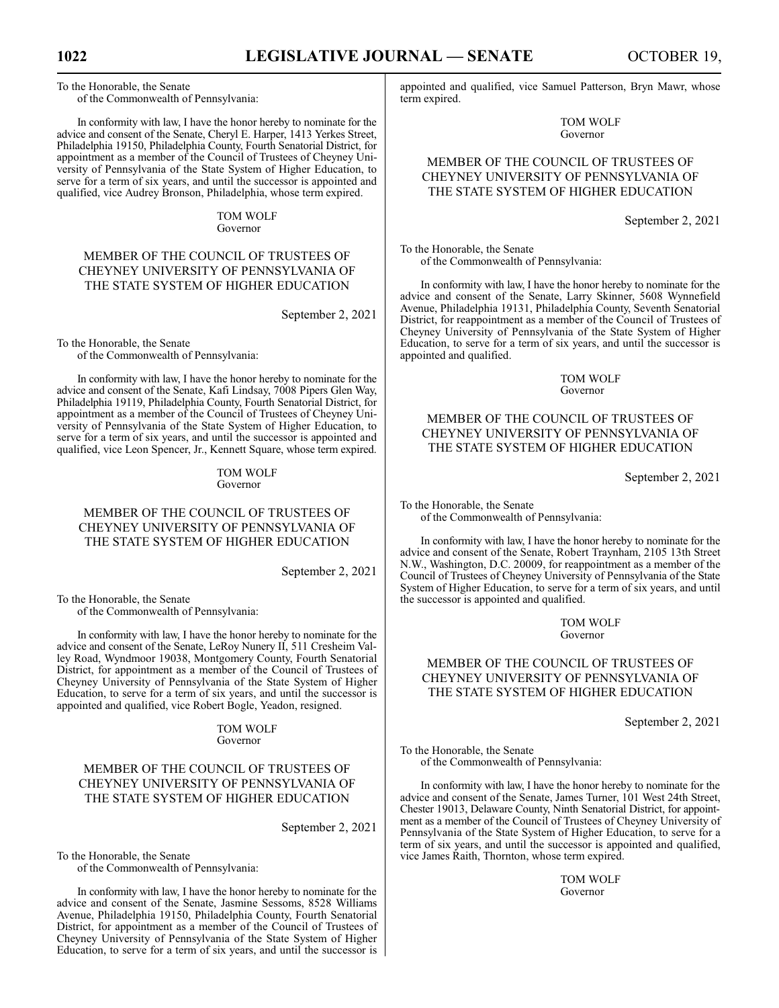To the Honorable, the Senate of the Commonwealth of Pennsylvania:

In conformity with law, I have the honor hereby to nominate for the advice and consent of the Senate, Cheryl E. Harper, 1413 Yerkes Street, Philadelphia 19150, Philadelphia County, Fourth Senatorial District, for appointment as a member of the Council of Trustees of Cheyney University of Pennsylvania of the State System of Higher Education, to serve for a term of six years, and until the successor is appointed and qualified, vice Audrey Bronson, Philadelphia, whose term expired.

### TOM WOLF Governor

# MEMBER OF THE COUNCIL OF TRUSTEES OF CHEYNEY UNIVERSITY OF PENNSYLVANIA OF THE STATE SYSTEM OF HIGHER EDUCATION

September 2, 2021

To the Honorable, the Senate of the Commonwealth of Pennsylvania:

In conformity with law, I have the honor hereby to nominate for the advice and consent of the Senate, Kafi Lindsay, 7008 Pipers Glen Way, Philadelphia 19119, Philadelphia County, Fourth Senatorial District, for appointment as a member of the Council of Trustees of Cheyney University of Pennsylvania of the State System of Higher Education, to serve for a term of six years, and until the successor is appointed and qualified, vice Leon Spencer, Jr., Kennett Square, whose term expired.

### TOM WOLF Governor

# MEMBER OF THE COUNCIL OF TRUSTEES OF CHEYNEY UNIVERSITY OF PENNSYLVANIA OF THE STATE SYSTEM OF HIGHER EDUCATION

September 2, 2021

To the Honorable, the Senate of the Commonwealth of Pennsylvania:

In conformity with law, I have the honor hereby to nominate for the advice and consent of the Senate, LeRoy Nunery II, 511 Cresheim Valley Road, Wyndmoor 19038, Montgomery County, Fourth Senatorial District, for appointment as a member of the Council of Trustees of Cheyney University of Pennsylvania of the State System of Higher Education, to serve for a term of six years, and until the successor is appointed and qualified, vice Robert Bogle, Yeadon, resigned.

### TOM WOLF Governor

# MEMBER OF THE COUNCIL OF TRUSTEES OF CHEYNEY UNIVERSITY OF PENNSYLVANIA OF THE STATE SYSTEM OF HIGHER EDUCATION

September 2, 2021

To the Honorable, the Senate of the Commonwealth of Pennsylvania:

In conformity with law, I have the honor hereby to nominate for the advice and consent of the Senate, Jasmine Sessoms, 8528 Williams Avenue, Philadelphia 19150, Philadelphia County, Fourth Senatorial District, for appointment as a member of the Council of Trustees of Cheyney University of Pennsylvania of the State System of Higher Education, to serve for a term of six years, and until the successor is appointed and qualified, vice Samuel Patterson, Bryn Mawr, whose term expired.

> TOM WOLF Governor

# MEMBER OF THE COUNCIL OF TRUSTEES OF CHEYNEY UNIVERSITY OF PENNSYLVANIA OF THE STATE SYSTEM OF HIGHER EDUCATION

September 2, 2021

To the Honorable, the Senate of the Commonwealth of Pennsylvania:

In conformity with law, I have the honor hereby to nominate for the advice and consent of the Senate, Larry Skinner, 5608 Wynnefield Avenue, Philadelphia 19131, Philadelphia County, Seventh Senatorial District, for reappointment as a member of the Council of Trustees of Cheyney University of Pennsylvania of the State System of Higher Education, to serve for a term of six years, and until the successor is appointed and qualified.

> TOM WOLF Governor

# MEMBER OF THE COUNCIL OF TRUSTEES OF CHEYNEY UNIVERSITY OF PENNSYLVANIA OF THE STATE SYSTEM OF HIGHER EDUCATION

September 2, 2021

To the Honorable, the Senate of the Commonwealth of Pennsylvania:

In conformity with law, I have the honor hereby to nominate for the advice and consent of the Senate, Robert Traynham, 2105 13th Street N.W., Washington, D.C. 20009, for reappointment as a member of the Council of Trustees of Cheyney University of Pennsylvania of the State System of Higher Education, to serve for a term of six years, and until the successor is appointed and qualified.

> TOM WOLF Governor

# MEMBER OF THE COUNCIL OF TRUSTEES OF CHEYNEY UNIVERSITY OF PENNSYLVANIA OF THE STATE SYSTEM OF HIGHER EDUCATION

September 2, 2021

To the Honorable, the Senate of the Commonwealth of Pennsylvania:

In conformity with law, I have the honor hereby to nominate for the advice and consent of the Senate, James Turner, 101 West 24th Street, Chester 19013, Delaware County, Ninth Senatorial District, for appointment as a member of the Council of Trustees of Cheyney University of Pennsylvania of the State System of Higher Education, to serve for a term of six years, and until the successor is appointed and qualified, vice James Raith, Thornton, whose term expired.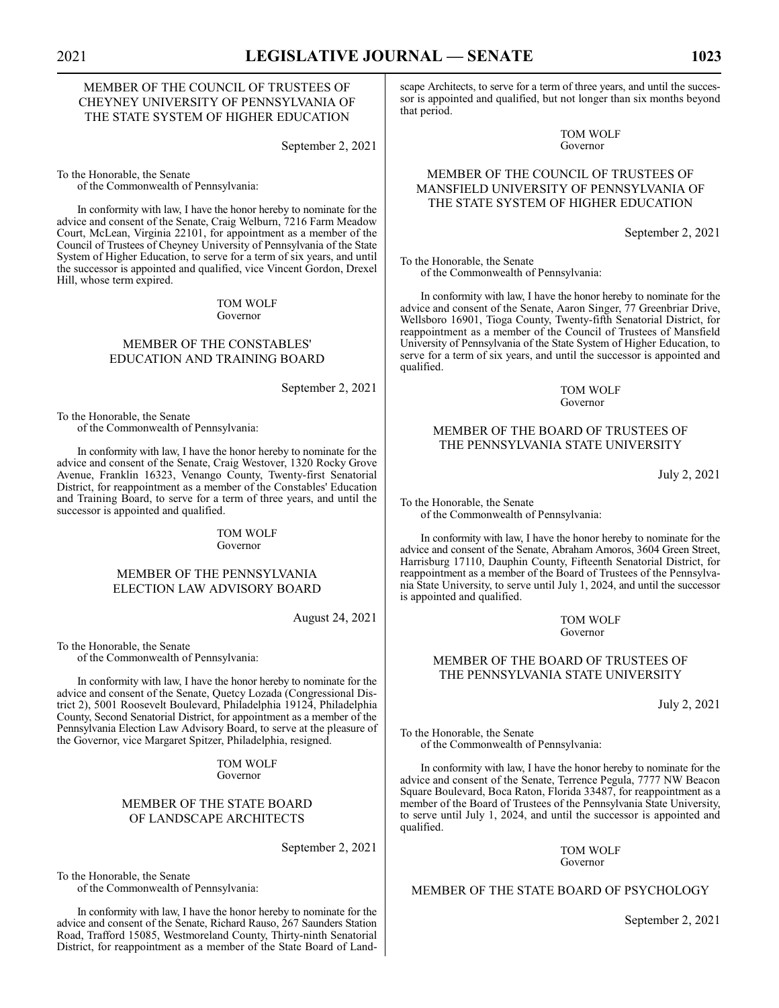# MEMBER OF THE COUNCIL OF TRUSTEES OF CHEYNEY UNIVERSITY OF PENNSYLVANIA OF THE STATE SYSTEM OF HIGHER EDUCATION

September 2, 2021

To the Honorable, the Senate of the Commonwealth of Pennsylvania:

In conformity with law, I have the honor hereby to nominate for the advice and consent of the Senate, Craig Welburn, 7216 Farm Meadow Court, McLean, Virginia 22101, for appointment as a member of the Council of Trustees of Cheyney University of Pennsylvania of the State System of Higher Education, to serve for a term of six years, and until the successor is appointed and qualified, vice Vincent Gordon, Drexel Hill, whose term expired.

> TOM WOLF Governor

# MEMBER OF THE CONSTABLES' EDUCATION AND TRAINING BOARD

To the Honorable, the Senate of the Commonwealth of Pennsylvania:

In conformity with law, I have the honor hereby to nominate for the advice and consent of the Senate, Craig Westover, 1320 Rocky Grove Avenue, Franklin 16323, Venango County, Twenty-first Senatorial District, for reappointment as a member of the Constables' Education and Training Board, to serve for a term of three years, and until the successor is appointed and qualified.

> TOM WOLF Governor

# MEMBER OF THE PENNSYLVANIA ELECTION LAW ADVISORY BOARD

August 24, 2021

To the Honorable, the Senate of the Commonwealth of Pennsylvania:

In conformity with law, I have the honor hereby to nominate for the advice and consent of the Senate, Quetcy Lozada (Congressional District 2), 5001 Roosevelt Boulevard, Philadelphia 19124, Philadelphia County, Second Senatorial District, for appointment as a member of the Pennsylvania Election Law Advisory Board, to serve at the pleasure of the Governor, vice Margaret Spitzer, Philadelphia, resigned.

> TOM WOLF Governor

# MEMBER OF THE STATE BOARD OF LANDSCAPE ARCHITECTS

September 2, 2021

To the Honorable, the Senate

of the Commonwealth of Pennsylvania:

In conformity with law, I have the honor hereby to nominate for the advice and consent of the Senate, Richard Rauso, 267 Saunders Station Road, Trafford 15085, Westmoreland County, Thirty-ninth Senatorial District, for reappointment as a member of the State Board of Landscape Architects, to serve for a term of three years, and until the successor is appointed and qualified, but not longer than six months beyond that period.

> TOM WOLF Governor

# MEMBER OF THE COUNCIL OF TRUSTEES OF MANSFIELD UNIVERSITY OF PENNSYLVANIA OF THE STATE SYSTEM OF HIGHER EDUCATION

September 2, 2021

To the Honorable, the Senate of the Commonwealth of Pennsylvania:

In conformity with law, I have the honor hereby to nominate for the advice and consent of the Senate, Aaron Singer, 77 Greenbriar Drive, Wellsboro 16901, Tioga County, Twenty-fifth Senatorial District, for reappointment as a member of the Council of Trustees of Mansfield University of Pennsylvania of the State System of Higher Education, to serve for a term of six years, and until the successor is appointed and qualified.

> TOM WOLF Governor

# MEMBER OF THE BOARD OF TRUSTEES OF THE PENNSYLVANIA STATE UNIVERSITY

July 2, 2021

To the Honorable, the Senate of the Commonwealth of Pennsylvania:

In conformity with law, I have the honor hereby to nominate for the advice and consent of the Senate, Abraham Amoros, 3604 Green Street, Harrisburg 17110, Dauphin County, Fifteenth Senatorial District, for reappointment as a member of the Board of Trustees of the Pennsylvania State University, to serve until July 1, 2024, and until the successor is appointed and qualified.

> TOM WOLF Governor

# MEMBER OF THE BOARD OF TRUSTEES OF THE PENNSYLVANIA STATE UNIVERSITY

July 2, 2021

To the Honorable, the Senate of the Commonwealth of Pennsylvania:

In conformity with law, I have the honor hereby to nominate for the advice and consent of the Senate, Terrence Pegula, 7777 NW Beacon Square Boulevard, Boca Raton, Florida 33487, for reappointment as a member of the Board of Trustees of the Pennsylvania State University, to serve until July 1, 2024, and until the successor is appointed and qualified.

### TOM WOLF Governor

### MEMBER OF THE STATE BOARD OF PSYCHOLOGY

September 2, 2021

September 2, 2021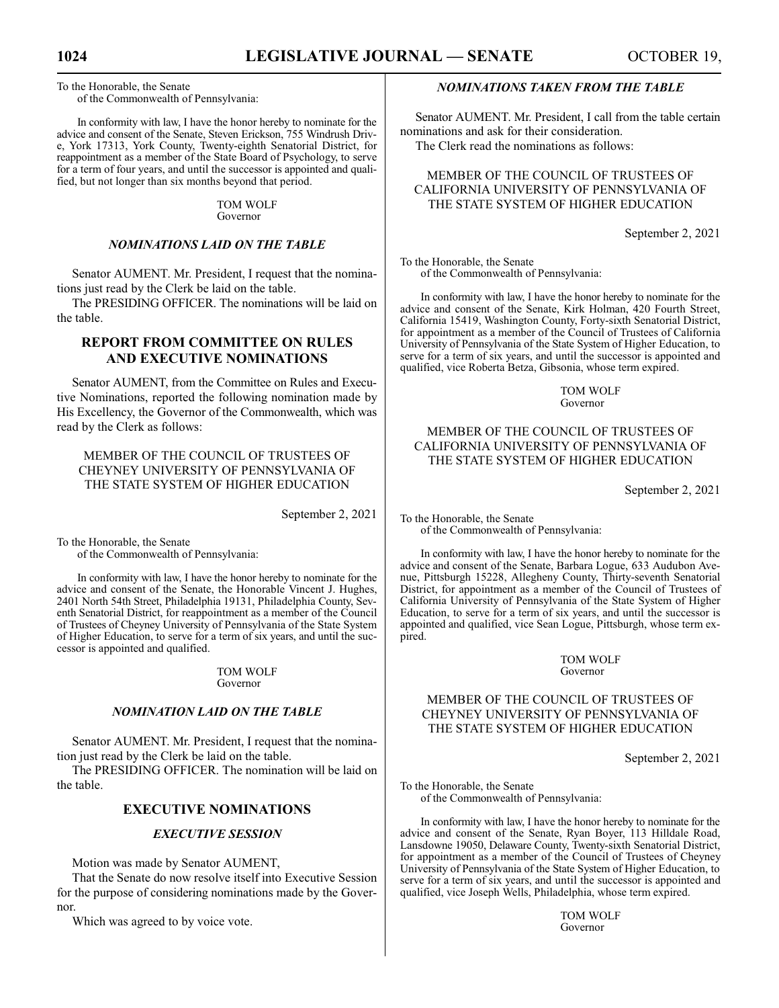To the Honorable, the Senate of the Commonwealth of Pennsylvania:

In conformity with law, I have the honor hereby to nominate for the advice and consent of the Senate, Steven Erickson, 755 Windrush Drive, York 17313, York County, Twenty-eighth Senatorial District, for reappointment as a member of the State Board of Psychology, to serve for a term of four years, and until the successor is appointed and qualified, but not longer than six months beyond that period.

> TOM WOLF Governor

# *NOMINATIONS LAID ON THE TABLE*

Senator AUMENT. Mr. President, I request that the nominations just read by the Clerk be laid on the table.

The PRESIDING OFFICER. The nominations will be laid on the table.

# **REPORT FROM COMMITTEE ON RULES AND EXECUTIVE NOMINATIONS**

Senator AUMENT, from the Committee on Rules and Executive Nominations, reported the following nomination made by His Excellency, the Governor of the Commonwealth, which was read by the Clerk as follows:

MEMBER OF THE COUNCIL OF TRUSTEES OF CHEYNEY UNIVERSITY OF PENNSYLVANIA OF THE STATE SYSTEM OF HIGHER EDUCATION

September 2, 2021

To the Honorable, the Senate

of the Commonwealth of Pennsylvania:

In conformity with law, I have the honor hereby to nominate for the advice and consent of the Senate, the Honorable Vincent J. Hughes, 2401 North 54th Street, Philadelphia 19131, Philadelphia County, Seventh Senatorial District, for reappointment as a member of the Council of Trustees of Cheyney University of Pennsylvania of the State System of Higher Education, to serve for a term of six years, and until the successor is appointed and qualified.

> TOM WOLF Governor

# *NOMINATION LAID ON THE TABLE*

Senator AUMENT. Mr. President, I request that the nomination just read by the Clerk be laid on the table.

The PRESIDING OFFICER. The nomination will be laid on the table.

# **EXECUTIVE NOMINATIONS**

# *EXECUTIVE SESSION*

Motion was made by Senator AUMENT,

That the Senate do now resolve itself into Executive Session for the purpose of considering nominations made by the Governor.

Which was agreed to by voice vote.

# *NOMINATIONS TAKEN FROM THE TABLE*

Senator AUMENT. Mr. President, I call from the table certain nominations and ask for their consideration.

The Clerk read the nominations as follows:

# MEMBER OF THE COUNCIL OF TRUSTEES OF CALIFORNIA UNIVERSITY OF PENNSYLVANIA OF THE STATE SYSTEM OF HIGHER EDUCATION

September 2, 2021

To the Honorable, the Senate of the Commonwealth of Pennsylvania:

In conformity with law, I have the honor hereby to nominate for the advice and consent of the Senate, Kirk Holman, 420 Fourth Street, California 15419, Washington County, Forty-sixth Senatorial District, for appointment as a member of the Council of Trustees of California University of Pennsylvania of the State System of Higher Education, to serve for a term of six years, and until the successor is appointed and qualified, vice Roberta Betza, Gibsonia, whose term expired.

> TOM WOLF Governor

# MEMBER OF THE COUNCIL OF TRUSTEES OF CALIFORNIA UNIVERSITY OF PENNSYLVANIA OF THE STATE SYSTEM OF HIGHER EDUCATION

September 2, 2021

To the Honorable, the Senate of the Commonwealth of Pennsylvania:

In conformity with law, I have the honor hereby to nominate for the advice and consent of the Senate, Barbara Logue, 633 Audubon Avenue, Pittsburgh 15228, Allegheny County, Thirty-seventh Senatorial District, for appointment as a member of the Council of Trustees of California University of Pennsylvania of the State System of Higher Education, to serve for a term of six years, and until the successor is appointed and qualified, vice Sean Logue, Pittsburgh, whose term expired.

### TOM WOLF Governor

# MEMBER OF THE COUNCIL OF TRUSTEES OF CHEYNEY UNIVERSITY OF PENNSYLVANIA OF THE STATE SYSTEM OF HIGHER EDUCATION

September 2, 2021

To the Honorable, the Senate of the Commonwealth of Pennsylvania:

In conformity with law, I have the honor hereby to nominate for the advice and consent of the Senate, Ryan Boyer, 113 Hilldale Road, Lansdowne 19050, Delaware County, Twenty-sixth Senatorial District, for appointment as a member of the Council of Trustees of Cheyney University of Pennsylvania of the State System of Higher Education, to serve for a term of six years, and until the successor is appointed and qualified, vice Joseph Wells, Philadelphia, whose term expired.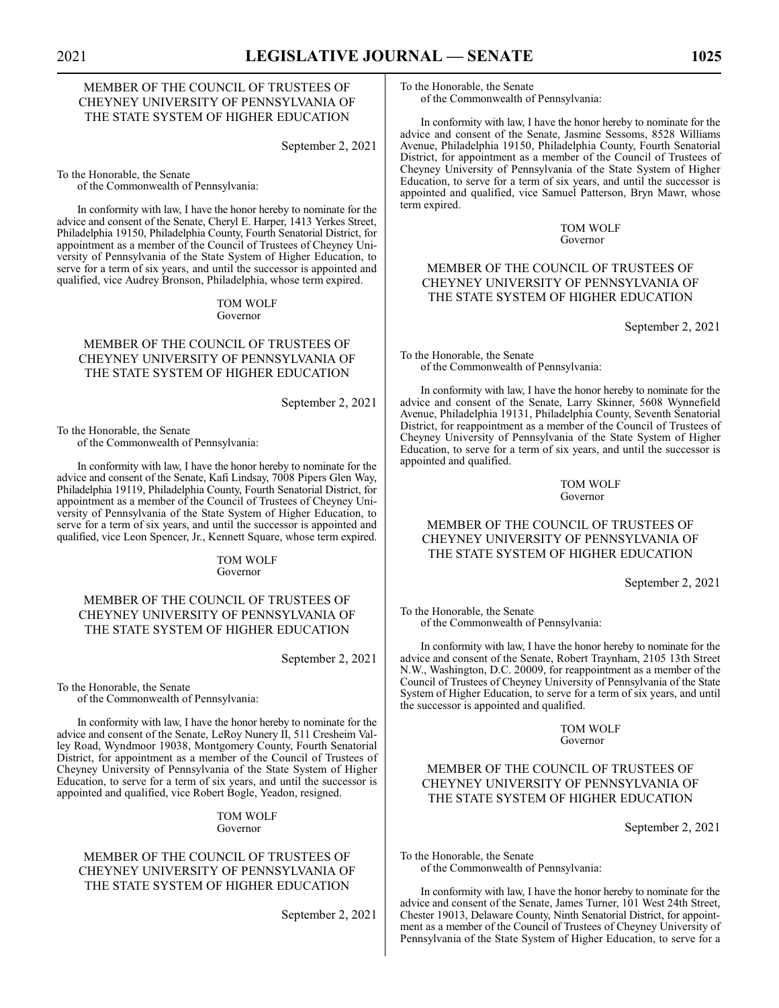# MEMBER OF THE COUNCIL OF TRUSTEES OF CHEYNEY UNIVERSITY OF PENNSYLVANIA OF THE STATE SYSTEM OF HIGHER EDUCATION

September 2, 2021

To the Honorable, the Senate of the Commonwealth of Pennsylvania:

In conformity with law, I have the honor hereby to nominate for the advice and consent of the Senate, Cheryl E. Harper, 1413 Yerkes Street, Philadelphia 19150, Philadelphia County, Fourth Senatorial District, for appointment as a member of the Council of Trustees of Cheyney University of Pennsylvania of the State System of Higher Education, to serve for a term of six years, and until the successor is appointed and qualified, vice Audrey Bronson, Philadelphia, whose term expired.

### TOM WOLF Governor

# MEMBER OF THE COUNCIL OF TRUSTEES OF CHEYNEY UNIVERSITY OF PENNSYLVANIA OF THE STATE SYSTEM OF HIGHER EDUCATION

September 2, 2021

To the Honorable, the Senate of the Commonwealth of Pennsylvania:

In conformity with law, I have the honor hereby to nominate for the advice and consent of the Senate, Kafi Lindsay, 7008 Pipers Glen Way, Philadelphia 19119, Philadelphia County, Fourth Senatorial District, for appointment as a member of the Council of Trustees of Cheyney University of Pennsylvania of the State System of Higher Education, to serve for a term of six years, and until the successor is appointed and qualified, vice Leon Spencer, Jr., Kennett Square, whose term expired.

#### TOM WOLF Governor

# MEMBER OF THE COUNCIL OF TRUSTEES OF CHEYNEY UNIVERSITY OF PENNSYLVANIA OF THE STATE SYSTEM OF HIGHER EDUCATION

September 2, 2021

To the Honorable, the Senate of the Commonwealth of Pennsylvania:

In conformity with law, I have the honor hereby to nominate for the advice and consent of the Senate, LeRoy Nunery II, 511 Cresheim Valley Road, Wyndmoor 19038, Montgomery County, Fourth Senatorial District, for appointment as a member of the Council of Trustees of Cheyney University of Pennsylvania of the State System of Higher Education, to serve for a term of six years, and until the successor is appointed and qualified, vice Robert Bogle, Yeadon, resigned.

> TOM WOLF Governor

# MEMBER OF THE COUNCIL OF TRUSTEES OF CHEYNEY UNIVERSITY OF PENNSYLVANIA OF THE STATE SYSTEM OF HIGHER EDUCATION

September 2, 2021

To the Honorable, the Senate of the Commonwealth of Pennsylvania:

In conformity with law, I have the honor hereby to nominate for the advice and consent of the Senate, Jasmine Sessoms, 8528 Williams Avenue, Philadelphia 19150, Philadelphia County, Fourth Senatorial District, for appointment as a member of the Council of Trustees of Cheyney University of Pennsylvania of the State System of Higher Education, to serve for a term of six years, and until the successor is appointed and qualified, vice Samuel Patterson, Bryn Mawr, whose term expired.

> TOM WOLF Governor

# MEMBER OF THE COUNCIL OF TRUSTEES OF CHEYNEY UNIVERSITY OF PENNSYLVANIA OF THE STATE SYSTEM OF HIGHER EDUCATION

September 2, 2021

To the Honorable, the Senate of the Commonwealth of Pennsylvania:

In conformity with law, I have the honor hereby to nominate for the advice and consent of the Senate, Larry Skinner, 5608 Wynnefield Avenue, Philadelphia 19131, Philadelphia County, Seventh Senatorial District, for reappointment as a member of the Council of Trustees of Cheyney University of Pennsylvania of the State System of Higher Education, to serve for a term of six years, and until the successor is appointed and qualified.

> TOM WOLF Governor

# MEMBER OF THE COUNCIL OF TRUSTEES OF CHEYNEY UNIVERSITY OF PENNSYLVANIA OF THE STATE SYSTEM OF HIGHER EDUCATION

September 2, 2021

To the Honorable, the Senate of the Commonwealth of Pennsylvania:

In conformity with law, I have the honor hereby to nominate for the advice and consent of the Senate, Robert Traynham, 2105 13th Street N.W., Washington, D.C. 20009, for reappointment as a member of the Council of Trustees of Cheyney University of Pennsylvania of the State System of Higher Education, to serve for a term of six years, and until the successor is appointed and qualified.

> TOM WOLF Governor

# MEMBER OF THE COUNCIL OF TRUSTEES OF CHEYNEY UNIVERSITY OF PENNSYLVANIA OF THE STATE SYSTEM OF HIGHER EDUCATION

September 2, 2021

To the Honorable, the Senate of the Commonwealth of Pennsylvania:

In conformity with law, I have the honor hereby to nominate for the advice and consent of the Senate, James Turner, 101 West 24th Street, Chester 19013, Delaware County, Ninth Senatorial District, for appointment as a member of the Council of Trustees of Cheyney University of Pennsylvania of the State System of Higher Education, to serve for a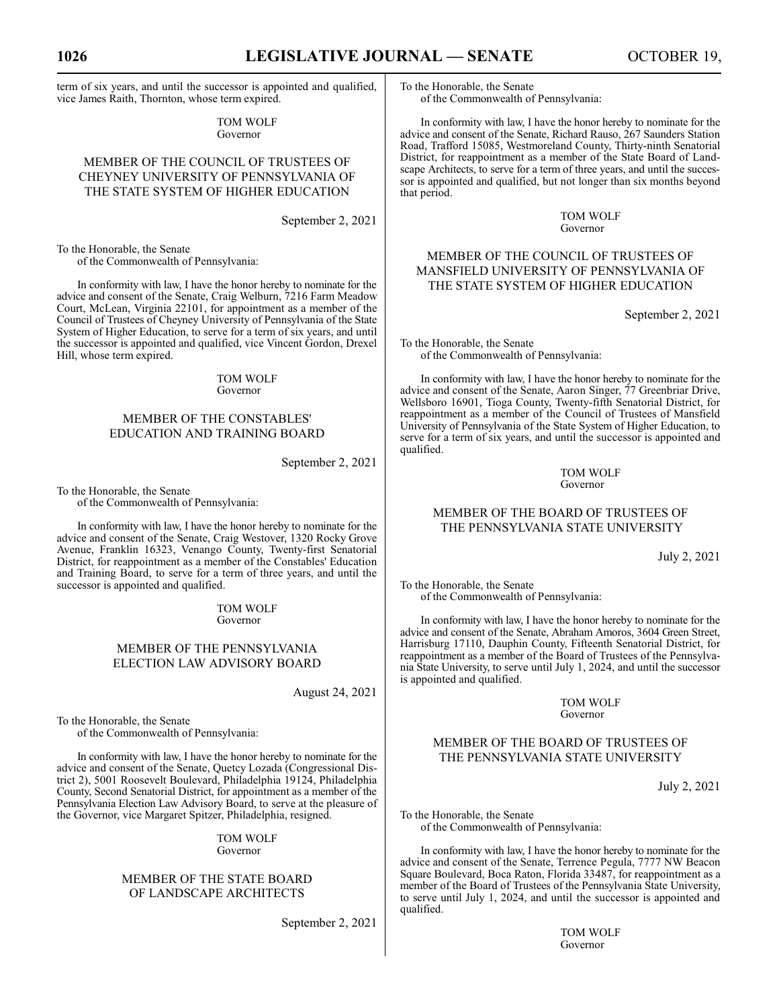term of six years, and until the successor is appointed and qualified, vice James Raith, Thornton, whose term expired.

> TOM WOLF Governor

# MEMBER OF THE COUNCIL OF TRUSTEES OF CHEYNEY UNIVERSITY OF PENNSYLVANIA OF THE STATE SYSTEM OF HIGHER EDUCATION

September 2, 2021

To the Honorable, the Senate of the Commonwealth of Pennsylvania:

In conformity with law, I have the honor hereby to nominate for the advice and consent of the Senate, Craig Welburn, 7216 Farm Meadow Court, McLean, Virginia 22101, for appointment as a member of the Council of Trustees of Cheyney University of Pennsylvania of the State System of Higher Education, to serve for a term of six years, and until the successor is appointed and qualified, vice Vincent Gordon, Drexel Hill, whose term expired.

> TOM WOLF Governor

# MEMBER OF THE CONSTABLES' EDUCATION AND TRAINING BOARD

# September 2, 2021

To the Honorable, the Senate of the Commonwealth of Pennsylvania:

In conformity with law, I have the honor hereby to nominate for the advice and consent of the Senate, Craig Westover, 1320 Rocky Grove Avenue, Franklin 16323, Venango County, Twenty-first Senatorial District, for reappointment as a member of the Constables' Education and Training Board, to serve for a term of three years, and until the successor is appointed and qualified.

> TOM WOLF Governor

# MEMBER OF THE PENNSYLVANIA ELECTION LAW ADVISORY BOARD

August 24, 2021

To the Honorable, the Senate

of the Commonwealth of Pennsylvania:

In conformity with law, I have the honor hereby to nominate for the advice and consent of the Senate, Quetcy Lozada (Congressional District 2), 5001 Roosevelt Boulevard, Philadelphia 19124, Philadelphia County, Second Senatorial District, for appointment as a member of the Pennsylvania Election Law Advisory Board, to serve at the pleasure of the Governor, vice Margaret Spitzer, Philadelphia, resigned.

> TOM WOLF Governor

# MEMBER OF THE STATE BOARD OF LANDSCAPE ARCHITECTS

September 2, 2021

To the Honorable, the Senate of the Commonwealth of Pennsylvania:

In conformity with law, I have the honor hereby to nominate for the advice and consent of the Senate, Richard Rauso, 267 Saunders Station Road, Trafford 15085, Westmoreland County, Thirty-ninth Senatorial District, for reappointment as a member of the State Board of Landscape Architects, to serve for a term of three years, and until the successor is appointed and qualified, but not longer than six months beyond that period.

> TOM WOLF Governor

# MEMBER OF THE COUNCIL OF TRUSTEES OF MANSFIELD UNIVERSITY OF PENNSYLVANIA OF THE STATE SYSTEM OF HIGHER EDUCATION

September 2, 2021

To the Honorable, the Senate of the Commonwealth of Pennsylvania:

In conformity with law, I have the honor hereby to nominate for the advice and consent of the Senate, Aaron Singer, 77 Greenbriar Drive, Wellsboro 16901, Tioga County, Twenty-fifth Senatorial District, for reappointment as a member of the Council of Trustees of Mansfield University of Pennsylvania of the State System of Higher Education, to serve for a term of six years, and until the successor is appointed and qualified.

### TOM WOLF Governor

# MEMBER OF THE BOARD OF TRUSTEES OF THE PENNSYLVANIA STATE UNIVERSITY

July 2, 2021

To the Honorable, the Senate of the Commonwealth of Pennsylvania:

In conformity with law, I have the honor hereby to nominate for the advice and consent of the Senate, Abraham Amoros, 3604 Green Street, Harrisburg 17110, Dauphin County, Fifteenth Senatorial District, for reappointment as a member of the Board of Trustees of the Pennsylvania State University, to serve until July 1, 2024, and until the successor is appointed and qualified.

> TOM WOLF Governor

# MEMBER OF THE BOARD OF TRUSTEES OF THE PENNSYLVANIA STATE UNIVERSITY

July 2, 2021

To the Honorable, the Senate of the Commonwealth of Pennsylvania:

In conformity with law, I have the honor hereby to nominate for the advice and consent of the Senate, Terrence Pegula, 7777 NW Beacon Square Boulevard, Boca Raton, Florida 33487, for reappointment as a member of the Board of Trustees of the Pennsylvania State University, to serve until July 1, 2024, and until the successor is appointed and qualified.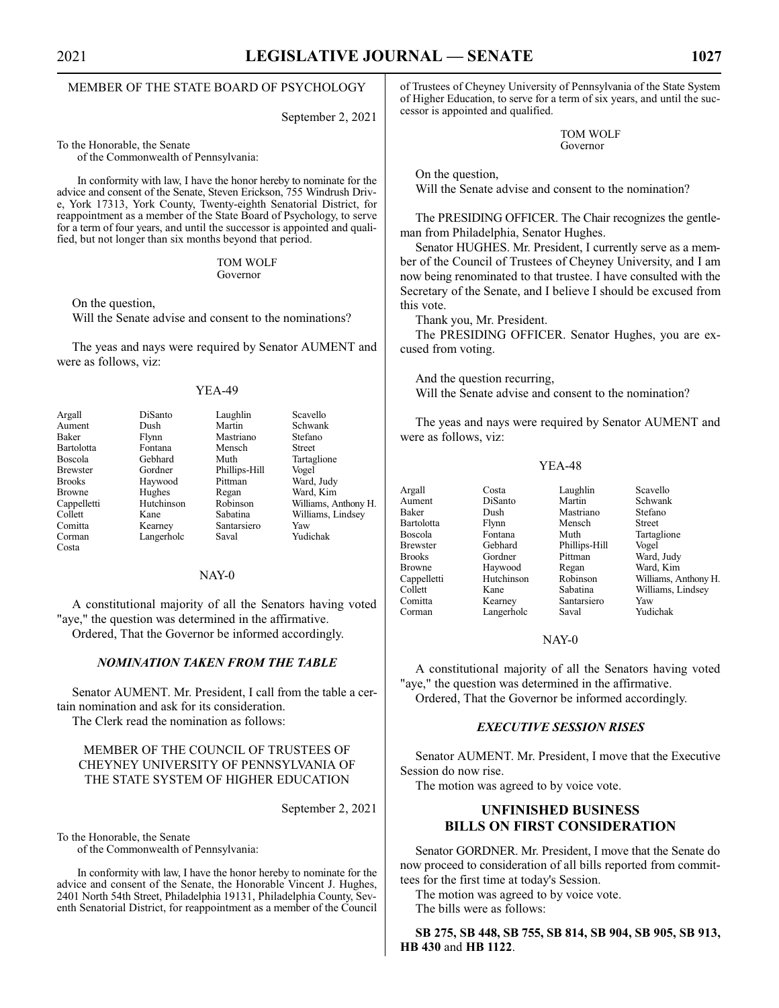# MEMBER OF THE STATE BOARD OF PSYCHOLOGY

September 2, 2021

To the Honorable, the Senate

of the Commonwealth of Pennsylvania:

In conformity with law, I have the honor hereby to nominate for the advice and consent of the Senate, Steven Erickson, 755 Windrush Drive, York 17313, York County, Twenty-eighth Senatorial District, for reappointment as a member of the State Board of Psychology, to serve for a term of four years, and until the successor is appointed and qualified, but not longer than six months beyond that period.

### TOM WOLF Governor

On the question,

Will the Senate advise and consent to the nominations?

The yeas and nays were required by Senator AUMENT and were as follows, viz:

### YEA-49

| Argall          | DiSanto    | Laughlin      | Scavello             |
|-----------------|------------|---------------|----------------------|
| Aument          | Dush       | Martin        | Schwank              |
| Baker           | Flynn      | Mastriano     | Stefano              |
| Bartolotta      | Fontana    | Mensch        | <b>Street</b>        |
| Boscola         | Gebhard    | Muth          | Tartaglione          |
| <b>Brewster</b> | Gordner    | Phillips-Hill | Vogel                |
| <b>Brooks</b>   | Haywood    | Pittman       | Ward, Judy           |
| <b>Browne</b>   | Hughes     | Regan         | Ward, Kim            |
| Cappelletti     | Hutchinson | Robinson      | Williams, Anthony H. |
| Collett         | Kane       | Sabatina      | Williams, Lindsey    |
| Comitta         | Kearney    | Santarsiero   | Yaw                  |
| Corman          | Langerholc | Saval         | Yudichak             |
| Costa           |            |               |                      |

# NAY-0

A constitutional majority of all the Senators having voted "aye," the question was determined in the affirmative. Ordered, That the Governor be informed accordingly.

# *NOMINATION TAKEN FROM THE TABLE*

Senator AUMENT. Mr. President, I call from the table a certain nomination and ask for its consideration. The Clerk read the nomination as follows:

# MEMBER OF THE COUNCIL OF TRUSTEES OF CHEYNEY UNIVERSITY OF PENNSYLVANIA OF THE STATE SYSTEM OF HIGHER EDUCATION

September 2, 2021

To the Honorable, the Senate

of the Commonwealth of Pennsylvania:

In conformity with law, I have the honor hereby to nominate for the advice and consent of the Senate, the Honorable Vincent J. Hughes, 2401 North 54th Street, Philadelphia 19131, Philadelphia County, Seventh Senatorial District, for reappointment as a member of the Council of Trustees of Cheyney University of Pennsylvania of the State System of Higher Education, to serve for a term of six years, and until the successor is appointed and qualified.

> TOM WOLF Governor

On the question,

Will the Senate advise and consent to the nomination?

The PRESIDING OFFICER. The Chair recognizes the gentleman from Philadelphia, Senator Hughes.

Senator HUGHES. Mr. President, I currently serve as a member of the Council of Trustees of Cheyney University, and I am now being renominated to that trustee. I have consulted with the Secretary of the Senate, and I believe I should be excused from this vote.

Thank you, Mr. President.

The PRESIDING OFFICER. Senator Hughes, you are excused from voting.

And the question recurring, Will the Senate advise and consent to the nomination?

The yeas and nays were required by Senator AUMENT and were as follows, viz:

# YEA-48

Argall Costa Laughlin Scavello Aument DiSanto Martin Schwank Baker Dush Mastriano Stefano Bartolotta Flynn Mensch<br>Boscola Fontana Muth Boscola Fontana Muth Tartaglione Brooks Gordner Pittman Ward, Judy<br>Browne Haywood Regan Ward, Kim Browne Haywood Regan Ward, Kim<br>
Cappelletti Hutchinson Robinson Williams, A Collett Kane Sabatina Williams, Lindsey Comitta Kearney Santarsiero Yaw Langerholc

Phillips-Hill Vogel

Robinson Williams, Anthony H.<br>Sabatina Williams, Lindsey

# NAY-0

A constitutional majority of all the Senators having voted "aye," the question was determined in the affirmative. Ordered, That the Governor be informed accordingly.

# *EXECUTIVE SESSION RISES*

Senator AUMENT. Mr. President, I move that the Executive Session do now rise.

The motion was agreed to by voice vote.

# **UNFINISHED BUSINESS BILLS ON FIRST CONSIDERATION**

Senator GORDNER. Mr. President, I move that the Senate do now proceed to consideration of all bills reported from committees for the first time at today's Session.

The motion was agreed to by voice vote. The bills were as follows:

**SB 275, SB 448, SB 755, SB 814, SB 904, SB 905, SB 913, HB 430** and **HB 1122**.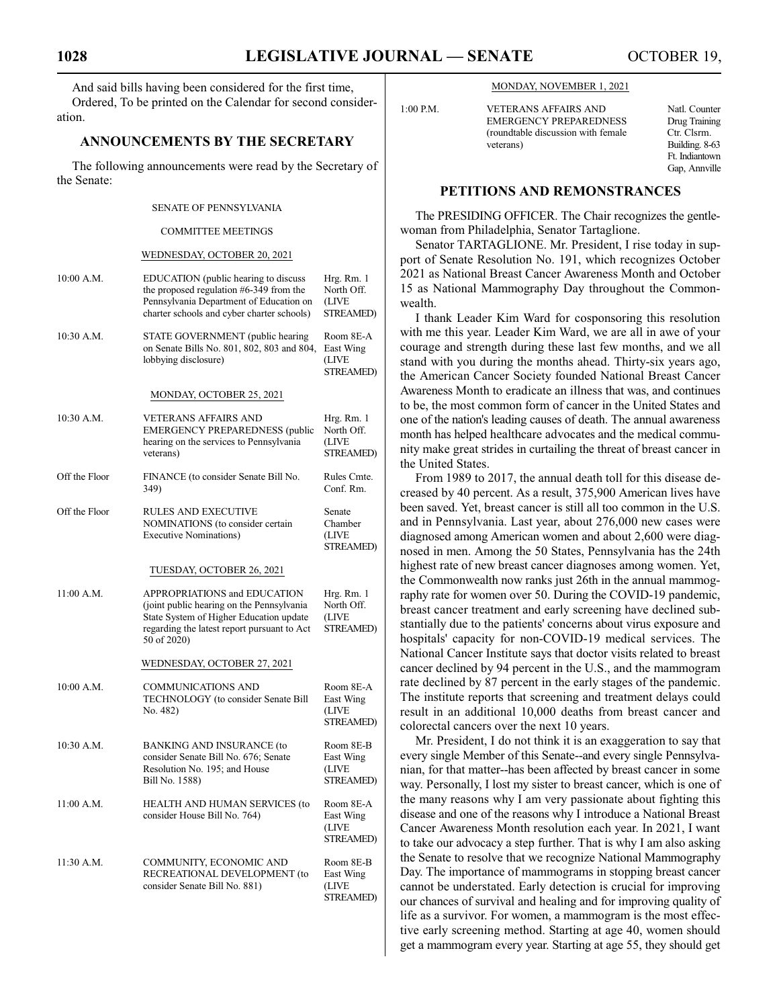And said bills having been considered for the first time, Ordered, To be printed on the Calendar for second consideration.

# **ANNOUNCEMENTS BY THE SECRETARY**

The following announcements were read by the Secretary of the Senate:

# SENATE OF PENNSYLVANIA

### COMMITTEE MEETINGS

### WEDNESDAY, OCTOBER 20, 2021

| 10:00 A.M.    | EDUCATION (public hearing to discuss<br>the proposed regulation #6-349 from the<br>Pennsylvania Department of Education on<br>charter schools and cyber charter schools)            | Hrg. Rm. 1<br>North Off.<br>(LIVE<br><b>STREAMED)</b> |
|---------------|-------------------------------------------------------------------------------------------------------------------------------------------------------------------------------------|-------------------------------------------------------|
| 10:30 A.M.    | STATE GOVERNMENT (public hearing<br>on Senate Bills No. 801, 802, 803 and 804,<br>lobbying disclosure)                                                                              | Room 8E-A<br>East Wing<br>(LIVE<br>STREAMED)          |
|               | MONDAY, OCTOBER 25, 2021                                                                                                                                                            |                                                       |
| 10:30 A.M.    | <b>VETERANS AFFAIRS AND</b><br><b>EMERGENCY PREPAREDNESS (public</b><br>hearing on the services to Pennsylvania<br>veterans)                                                        | Hrg. Rm. 1<br>North Off.<br>(LIVE<br><b>STREAMED)</b> |
| Off the Floor | FINANCE (to consider Senate Bill No.<br>349)                                                                                                                                        | Rules Cmte.<br>Conf. Rm.                              |
| Off the Floor | <b>RULES AND EXECUTIVE</b><br>NOMINATIONS (to consider certain<br><b>Executive Nominations)</b>                                                                                     | Senate<br>Chamber<br>(LIVE<br>STREAMED)               |
|               | TUESDAY, OCTOBER 26, 2021                                                                                                                                                           |                                                       |
| 11:00 A.M.    | APPROPRIATIONS and EDUCATION<br>(joint public hearing on the Pennsylvania)<br>State System of Higher Education update<br>regarding the latest report pursuant to Act<br>50 of 2020) | Hrg. Rm. 1<br>North Off.<br>(LIVE<br>STREAMED)        |
|               | WEDNESDAY, OCTOBER 27, 2021                                                                                                                                                         |                                                       |
| 10:00 A.M.    | <b>COMMUNICATIONS AND</b><br>TECHNOLOGY (to consider Senate Bill<br>No. 482)                                                                                                        | Room 8E-A<br>East Wing<br>(LIVE<br><b>STREAMED)</b>   |
| 10:30 A.M.    | <b>BANKING AND INSURANCE (to</b><br>consider Senate Bill No. 676; Senate<br>Resolution No. 195; and House<br>Bill No. 1588)                                                         | Room 8E-B<br>East Wing<br>(LIVE<br>STREAMED)          |
| 11:00 A.M.    | HEALTH AND HUMAN SERVICES (to<br>consider House Bill No. 764)                                                                                                                       | Room 8E-A<br>East Wing<br>(LIVE<br>STREAMED)          |
| 11:30 A.M.    | COMMUNITY, ECONOMIC AND<br>RECREATIONAL DEVELOPMENT (to<br>consider Senate Bill No. 881)                                                                                            | Room 8E-B<br>East Wing<br>(LIVE<br><b>STREAMED)</b>   |

### MONDAY, NOVEMBER 1, 2021

|   | $1:00$ P.M. | <b>VETERANS AFFAIRS AND</b><br><b>EMERGENCY PREPAREDNESS</b><br>(roundtable discussion with female) | Natl. Counter<br>Drug Training<br>Ctr. Clsrm. |
|---|-------------|-----------------------------------------------------------------------------------------------------|-----------------------------------------------|
|   |             | veterans)                                                                                           | Building. 8-63<br>Ft. Indiantown              |
| f |             |                                                                                                     | Gap, Annville                                 |

# **PETITIONS AND REMONSTRANCES**

The PRESIDING OFFICER. The Chair recognizes the gentlewoman from Philadelphia, Senator Tartaglione.

Senator TARTAGLIONE. Mr. President, I rise today in support of Senate Resolution No. 191, which recognizes October 2021 as National Breast Cancer Awareness Month and October 15 as National Mammography Day throughout the Commonwealth.

I thank Leader Kim Ward for cosponsoring this resolution with me this year. Leader Kim Ward, we are all in awe of your courage and strength during these last few months, and we all stand with you during the months ahead. Thirty-six years ago, the American Cancer Society founded National Breast Cancer Awareness Month to eradicate an illness that was, and continues to be, the most common form of cancer in the United States and one of the nation's leading causes of death. The annual awareness month has helped healthcare advocates and the medical community make great strides in curtailing the threat of breast cancer in the United States.

From 1989 to 2017, the annual death toll for this disease decreased by 40 percent. As a result, 375,900 American lives have been saved. Yet, breast cancer is still all too common in the U.S. and in Pennsylvania. Last year, about 276,000 new cases were diagnosed among American women and about 2,600 were diagnosed in men. Among the 50 States, Pennsylvania has the 24th highest rate of new breast cancer diagnoses among women. Yet, the Commonwealth now ranks just 26th in the annual mammography rate for women over 50. During the COVID-19 pandemic, breast cancer treatment and early screening have declined substantially due to the patients' concerns about virus exposure and hospitals' capacity for non-COVID-19 medical services. The National Cancer Institute says that doctor visits related to breast cancer declined by 94 percent in the U.S., and the mammogram rate declined by 87 percent in the early stages of the pandemic. The institute reports that screening and treatment delays could result in an additional 10,000 deaths from breast cancer and colorectal cancers over the next 10 years.

Mr. President, I do not think it is an exaggeration to say that every single Member of this Senate--and every single Pennsylvanian, for that matter--has been affected by breast cancer in some way. Personally, I lost my sister to breast cancer, which is one of the many reasons why I am very passionate about fighting this disease and one of the reasons why I introduce a National Breast Cancer Awareness Month resolution each year. In 2021, I want to take our advocacy a step further. That is why I am also asking the Senate to resolve that we recognize National Mammography Day. The importance of mammograms in stopping breast cancer cannot be understated. Early detection is crucial for improving our chances of survival and healing and for improving quality of life as a survivor. For women, a mammogram is the most effective early screening method. Starting at age 40, women should get a mammogram every year. Starting at age 55, they should get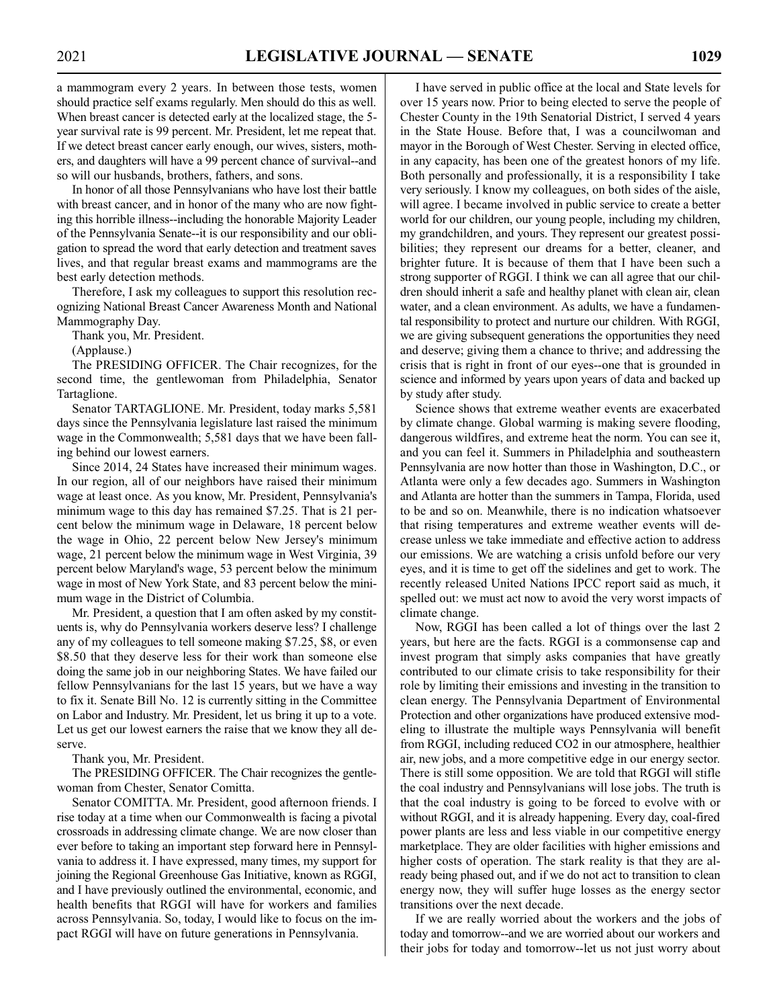a mammogram every 2 years. In between those tests, women should practice self exams regularly. Men should do this as well. When breast cancer is detected early at the localized stage, the 5 year survival rate is 99 percent. Mr. President, let me repeat that. If we detect breast cancer early enough, our wives, sisters, mothers, and daughters will have a 99 percent chance of survival--and so will our husbands, brothers, fathers, and sons.

In honor of all those Pennsylvanians who have lost their battle with breast cancer, and in honor of the many who are now fighting this horrible illness--including the honorable Majority Leader of the Pennsylvania Senate--it is our responsibility and our obligation to spread the word that early detection and treatment saves lives, and that regular breast exams and mammograms are the best early detection methods.

Therefore, I ask my colleagues to support this resolution recognizing National Breast Cancer Awareness Month and National Mammography Day.

Thank you, Mr. President. (Applause.)

The PRESIDING OFFICER. The Chair recognizes, for the second time, the gentlewoman from Philadelphia, Senator Tartaglione.

Senator TARTAGLIONE. Mr. President, today marks 5,581 days since the Pennsylvania legislature last raised the minimum wage in the Commonwealth; 5,581 days that we have been falling behind our lowest earners.

Since 2014, 24 States have increased their minimum wages. In our region, all of our neighbors have raised their minimum wage at least once. As you know, Mr. President, Pennsylvania's minimum wage to this day has remained \$7.25. That is 21 percent below the minimum wage in Delaware, 18 percent below the wage in Ohio, 22 percent below New Jersey's minimum wage, 21 percent below the minimum wage in West Virginia, 39 percent below Maryland's wage, 53 percent below the minimum wage in most of New York State, and 83 percent below the minimum wage in the District of Columbia.

Mr. President, a question that I am often asked by my constituents is, why do Pennsylvania workers deserve less? I challenge any of my colleagues to tell someone making \$7.25, \$8, or even \$8.50 that they deserve less for their work than someone else doing the same job in our neighboring States. We have failed our fellow Pennsylvanians for the last 15 years, but we have a way to fix it. Senate Bill No. 12 is currently sitting in the Committee on Labor and Industry. Mr. President, let us bring it up to a vote. Let us get our lowest earners the raise that we know they all deserve.

Thank you, Mr. President.

The PRESIDING OFFICER. The Chair recognizes the gentlewoman from Chester, Senator Comitta.

Senator COMITTA. Mr. President, good afternoon friends. I rise today at a time when our Commonwealth is facing a pivotal crossroads in addressing climate change. We are now closer than ever before to taking an important step forward here in Pennsylvania to address it. I have expressed, many times, my support for joining the Regional Greenhouse Gas Initiative, known as RGGI, and I have previously outlined the environmental, economic, and health benefits that RGGI will have for workers and families across Pennsylvania. So, today, I would like to focus on the impact RGGI will have on future generations in Pennsylvania.

I have served in public office at the local and State levels for over 15 years now. Prior to being elected to serve the people of Chester County in the 19th Senatorial District, I served 4 years in the State House. Before that, I was a councilwoman and mayor in the Borough of West Chester. Serving in elected office, in any capacity, has been one of the greatest honors of my life. Both personally and professionally, it is a responsibility I take very seriously. I know my colleagues, on both sides of the aisle, will agree. I became involved in public service to create a better world for our children, our young people, including my children, my grandchildren, and yours. They represent our greatest possibilities; they represent our dreams for a better, cleaner, and brighter future. It is because of them that I have been such a strong supporter of RGGI. I think we can all agree that our children should inherit a safe and healthy planet with clean air, clean water, and a clean environment. As adults, we have a fundamental responsibility to protect and nurture our children. With RGGI, we are giving subsequent generations the opportunities they need and deserve; giving them a chance to thrive; and addressing the crisis that is right in front of our eyes--one that is grounded in science and informed by years upon years of data and backed up by study after study.

Science shows that extreme weather events are exacerbated by climate change. Global warming is making severe flooding, dangerous wildfires, and extreme heat the norm. You can see it, and you can feel it. Summers in Philadelphia and southeastern Pennsylvania are now hotter than those in Washington, D.C., or Atlanta were only a few decades ago. Summers in Washington and Atlanta are hotter than the summers in Tampa, Florida, used to be and so on. Meanwhile, there is no indication whatsoever that rising temperatures and extreme weather events will decrease unless we take immediate and effective action to address our emissions. We are watching a crisis unfold before our very eyes, and it is time to get off the sidelines and get to work. The recently released United Nations IPCC report said as much, it spelled out: we must act now to avoid the very worst impacts of climate change.

Now, RGGI has been called a lot of things over the last 2 years, but here are the facts. RGGI is a commonsense cap and invest program that simply asks companies that have greatly contributed to our climate crisis to take responsibility for their role by limiting their emissions and investing in the transition to clean energy. The Pennsylvania Department of Environmental Protection and other organizations have produced extensive modeling to illustrate the multiple ways Pennsylvania will benefit from RGGI, including reduced CO2 in our atmosphere, healthier air, new jobs, and a more competitive edge in our energy sector. There is still some opposition. We are told that RGGI will stifle the coal industry and Pennsylvanians will lose jobs. The truth is that the coal industry is going to be forced to evolve with or without RGGI, and it is already happening. Every day, coal-fired power plants are less and less viable in our competitive energy marketplace. They are older facilities with higher emissions and higher costs of operation. The stark reality is that they are already being phased out, and if we do not act to transition to clean energy now, they will suffer huge losses as the energy sector transitions over the next decade.

If we are really worried about the workers and the jobs of today and tomorrow--and we are worried about our workers and their jobs for today and tomorrow--let us not just worry about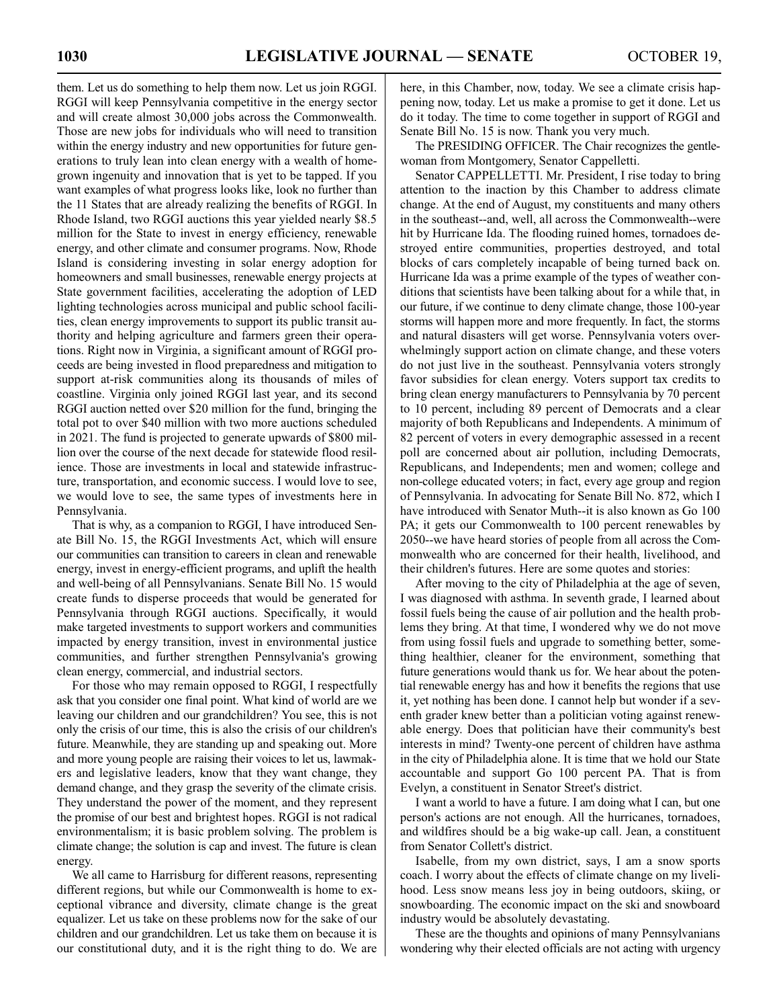them. Let us do something to help them now. Let us join RGGI. RGGI will keep Pennsylvania competitive in the energy sector and will create almost 30,000 jobs across the Commonwealth. Those are new jobs for individuals who will need to transition within the energy industry and new opportunities for future generations to truly lean into clean energy with a wealth of homegrown ingenuity and innovation that is yet to be tapped. If you want examples of what progress looks like, look no further than the 11 States that are already realizing the benefits of RGGI. In Rhode Island, two RGGI auctions this year yielded nearly \$8.5 million for the State to invest in energy efficiency, renewable energy, and other climate and consumer programs. Now, Rhode Island is considering investing in solar energy adoption for homeowners and small businesses, renewable energy projects at State government facilities, accelerating the adoption of LED lighting technologies across municipal and public school facilities, clean energy improvements to support its public transit authority and helping agriculture and farmers green their operations. Right now in Virginia, a significant amount of RGGI proceeds are being invested in flood preparedness and mitigation to support at-risk communities along its thousands of miles of coastline. Virginia only joined RGGI last year, and its second RGGI auction netted over \$20 million for the fund, bringing the total pot to over \$40 million with two more auctions scheduled in 2021. The fund is projected to generate upwards of \$800 million over the course of the next decade for statewide flood resilience. Those are investments in local and statewide infrastructure, transportation, and economic success. I would love to see, we would love to see, the same types of investments here in Pennsylvania.

That is why, as a companion to RGGI, I have introduced Senate Bill No. 15, the RGGI Investments Act, which will ensure our communities can transition to careers in clean and renewable energy, invest in energy-efficient programs, and uplift the health and well-being of all Pennsylvanians. Senate Bill No. 15 would create funds to disperse proceeds that would be generated for Pennsylvania through RGGI auctions. Specifically, it would make targeted investments to support workers and communities impacted by energy transition, invest in environmental justice communities, and further strengthen Pennsylvania's growing clean energy, commercial, and industrial sectors.

For those who may remain opposed to RGGI, I respectfully ask that you consider one final point. What kind of world are we leaving our children and our grandchildren? You see, this is not only the crisis of our time, this is also the crisis of our children's future. Meanwhile, they are standing up and speaking out. More and more young people are raising their voices to let us, lawmakers and legislative leaders, know that they want change, they demand change, and they grasp the severity of the climate crisis. They understand the power of the moment, and they represent the promise of our best and brightest hopes. RGGI is not radical environmentalism; it is basic problem solving. The problem is climate change; the solution is cap and invest. The future is clean energy.

We all came to Harrisburg for different reasons, representing different regions, but while our Commonwealth is home to exceptional vibrance and diversity, climate change is the great equalizer. Let us take on these problems now for the sake of our children and our grandchildren. Let us take them on because it is our constitutional duty, and it is the right thing to do. We are here, in this Chamber, now, today. We see a climate crisis happening now, today. Let us make a promise to get it done. Let us do it today. The time to come together in support of RGGI and Senate Bill No. 15 is now. Thank you very much.

The PRESIDING OFFICER. The Chair recognizes the gentlewoman from Montgomery, Senator Cappelletti.

Senator CAPPELLETTI. Mr. President, I rise today to bring attention to the inaction by this Chamber to address climate change. At the end of August, my constituents and many others in the southeast--and, well, all across the Commonwealth--were hit by Hurricane Ida. The flooding ruined homes, tornadoes destroyed entire communities, properties destroyed, and total blocks of cars completely incapable of being turned back on. Hurricane Ida was a prime example of the types of weather conditions that scientists have been talking about for a while that, in our future, if we continue to deny climate change, those 100-year storms will happen more and more frequently. In fact, the storms and natural disasters will get worse. Pennsylvania voters overwhelmingly support action on climate change, and these voters do not just live in the southeast. Pennsylvania voters strongly favor subsidies for clean energy. Voters support tax credits to bring clean energy manufacturers to Pennsylvania by 70 percent to 10 percent, including 89 percent of Democrats and a clear majority of both Republicans and Independents. A minimum of 82 percent of voters in every demographic assessed in a recent poll are concerned about air pollution, including Democrats, Republicans, and Independents; men and women; college and non-college educated voters; in fact, every age group and region of Pennsylvania. In advocating for Senate Bill No. 872, which I have introduced with Senator Muth--it is also known as Go 100 PA; it gets our Commonwealth to 100 percent renewables by 2050--we have heard stories of people from all across the Commonwealth who are concerned for their health, livelihood, and their children's futures. Here are some quotes and stories:

After moving to the city of Philadelphia at the age of seven, I was diagnosed with asthma. In seventh grade, I learned about fossil fuels being the cause of air pollution and the health problems they bring. At that time, I wondered why we do not move from using fossil fuels and upgrade to something better, something healthier, cleaner for the environment, something that future generations would thank us for. We hear about the potential renewable energy has and how it benefits the regions that use it, yet nothing has been done. I cannot help but wonder if a seventh grader knew better than a politician voting against renewable energy. Does that politician have their community's best interests in mind? Twenty-one percent of children have asthma in the city of Philadelphia alone. It is time that we hold our State accountable and support Go 100 percent PA. That is from Evelyn, a constituent in Senator Street's district.

I want a world to have a future. I am doing what I can, but one person's actions are not enough. All the hurricanes, tornadoes, and wildfires should be a big wake-up call. Jean, a constituent from Senator Collett's district.

Isabelle, from my own district, says, I am a snow sports coach. I worry about the effects of climate change on my livelihood. Less snow means less joy in being outdoors, skiing, or snowboarding. The economic impact on the ski and snowboard industry would be absolutely devastating.

These are the thoughts and opinions of many Pennsylvanians wondering why their elected officials are not acting with urgency